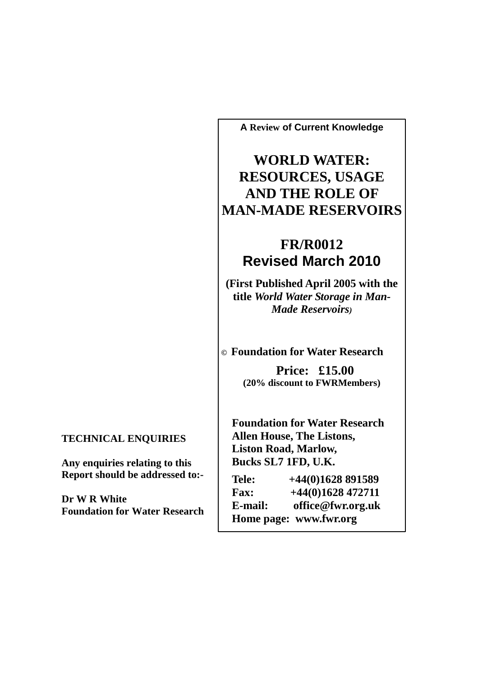**A Review of Current Knowledge** 

**WORLD WATER: RESOURCES, USAGE AND THE ROLE OF MAN-MADE RESERVOIRS**

## **FR/R0012 Revised March 2010**

**(First Published April 2005 with the title** *World Water Storage in Man-Made Reservoirs)*

**© Foundation for Water Research**

**Price: £15.00 (20% discount to FWRMembers)** 

**Foundation for Water Research Allen House, The Listons, Liston Road, Marlow, Bucks SL7 1FD, U.K.** 

| Tele:       | $+44(0)1628891589$     |
|-------------|------------------------|
| <b>Fax:</b> | $+44(0)1628$ 472711    |
| E-mail:     | office@fwr.org.uk      |
|             | Home page: www.fwr.org |

**TECHNICAL ENQUIRIES** 

**Any enquiries relating to this Report should be addressed to:-**

**Dr W R White Foundation for Water Research**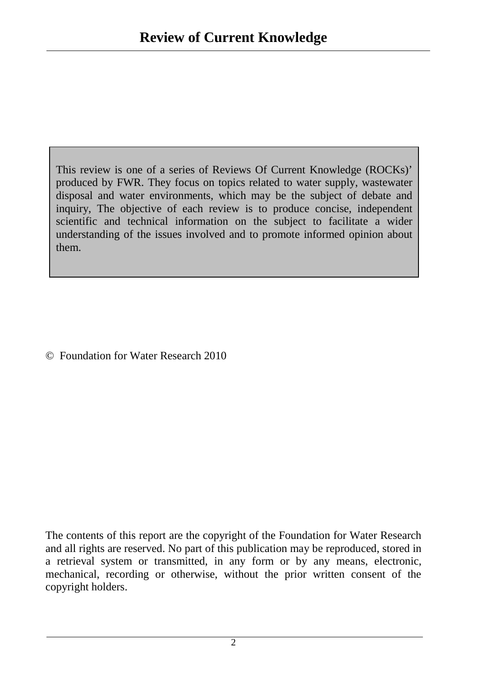This review is one of a series of Reviews Of Current Knowledge (ROCKs)' produced by FWR. They focus on topics related to water supply, wastewater disposal and water environments, which may be the subject of debate and inquiry, The objective of each review is to produce concise, independent scientific and technical information on the subject to facilitate a wider understanding of the issues involved and to promote informed opinion about them.

© Foundation for Water Research 2010

The contents of this report are the copyright of the Foundation for Water Research and all rights are reserved. No part of this publication may be reproduced, stored in a retrieval system or transmitted, in any form or by any means, electronic, mechanical, recording or otherwise, without the prior written consent of the copyright holders.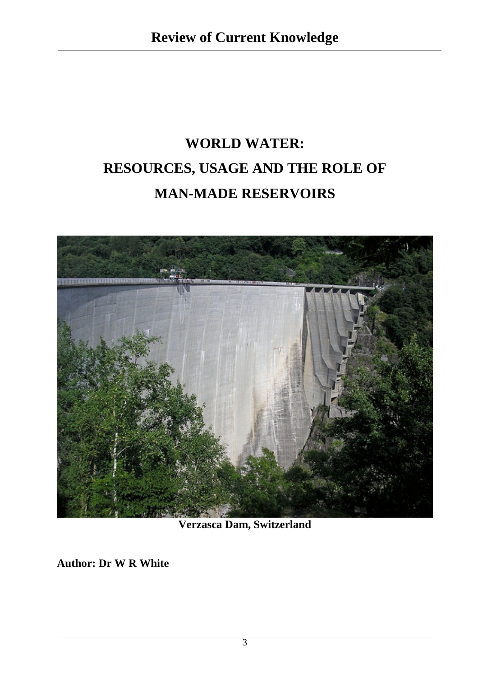# **WORLD WATER: RESOURCES, USAGE AND THE ROLE OF MAN-MADE RESERVOIRS**



**Verzasca Dam, Switzerland** 

**Author: Dr W R White**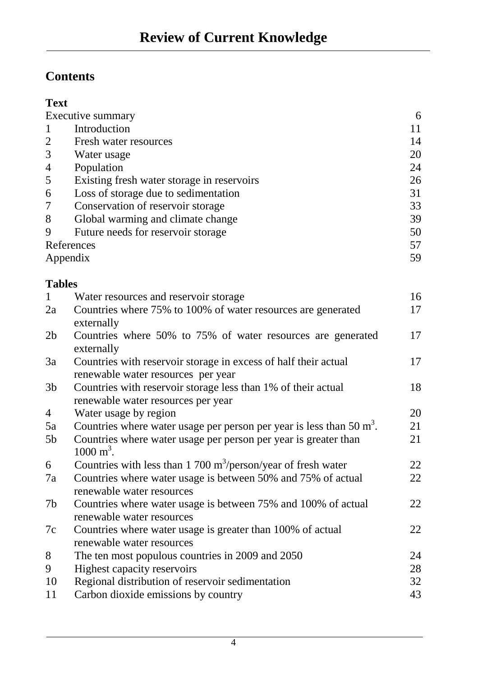# **Contents**

### **Text**

|                  | Executive summary                                                                          | 6  |
|------------------|--------------------------------------------------------------------------------------------|----|
| $\mathbf{1}$     | Introduction                                                                               | 11 |
| $\overline{2}$   | Fresh water resources                                                                      | 14 |
| 3                | Water usage                                                                                | 20 |
| $\overline{4}$   | Population                                                                                 | 24 |
| 5                | Existing fresh water storage in reservoirs                                                 | 26 |
| 6                | Loss of storage due to sedimentation                                                       | 31 |
| $\boldsymbol{7}$ | Conservation of reservoir storage                                                          | 33 |
| 8                | Global warming and climate change                                                          | 39 |
| 9                | Future needs for reservoir storage                                                         | 50 |
|                  | References                                                                                 | 57 |
|                  | Appendix                                                                                   | 59 |
| <b>Tables</b>    |                                                                                            |    |
| $\mathbf{1}$     | Water resources and reservoir storage                                                      | 16 |
| 2a               | Countries where 75% to 100% of water resources are generated<br>externally                 | 17 |
| 2 <sub>b</sub>   | Countries where 50% to 75% of water resources are generated                                | 17 |
| 3a               | externally<br>Countries with reservoir storage in excess of half their actual              | 17 |
|                  | renewable water resources per year                                                         |    |
| 3b               | Countries with reservoir storage less than 1% of their actual                              | 18 |
|                  | renewable water resources per year                                                         |    |
| $\overline{4}$   | Water usage by region                                                                      | 20 |
| 5a               | Countries where water usage per person per year is less than $50 \text{ m}^3$ .            | 21 |
| 5b               | Countries where water usage per person per year is greater than<br>$1000 \text{ m}^3$ .    | 21 |
| 6                | Countries with less than 1 700 $\text{m}^3/\text{person}/\text{year}$ of fresh water       | 22 |
| 7a               | Countries where water usage is between 50% and 75% of actual<br>renewable water resources  | 22 |
| 7b               | Countries where water usage is between 75% and 100% of actual<br>renewable water resources | 22 |
| 7c               | Countries where water usage is greater than 100% of actual                                 | 22 |
|                  | renewable water resources                                                                  |    |
| 8                |                                                                                            | 24 |
| 9                | The ten most populous countries in 2009 and 2050                                           | 28 |
| 10               | Highest capacity reservoirs                                                                | 32 |
|                  | Regional distribution of reservoir sedimentation                                           | 43 |
| 11               | Carbon dioxide emissions by country                                                        |    |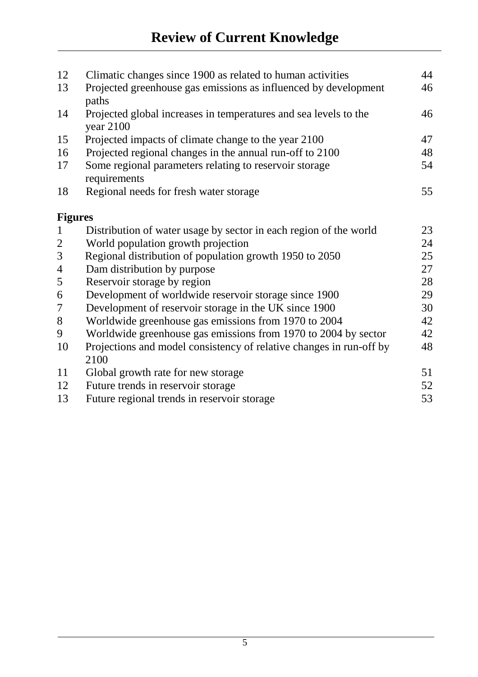| 12             | Climatic changes since 1900 as related to human activities                      | 44 |
|----------------|---------------------------------------------------------------------------------|----|
| 13             | Projected greenhouse gas emissions as influenced by development<br>paths        | 46 |
| 14             | Projected global increases in temperatures and sea levels to the<br>year $2100$ | 46 |
| 15             | Projected impacts of climate change to the year 2100                            | 47 |
| 16             | Projected regional changes in the annual run-off to 2100                        | 48 |
| 17             | Some regional parameters relating to reservoir storage<br>requirements          | 54 |
| 18             | Regional needs for fresh water storage                                          | 55 |
| <b>Figures</b> |                                                                                 |    |
| $\mathbf{1}$   | Distribution of water usage by sector in each region of the world               | 23 |
| $\overline{2}$ | World population growth projection                                              | 24 |
| 3              | Regional distribution of population growth 1950 to 2050                         | 25 |
| $\overline{4}$ | Dam distribution by purpose                                                     | 27 |
| 5              | Reservoir storage by region                                                     | 28 |
| 6              | Development of worldwide reservoir storage since 1900                           | 29 |
| 7              | Development of reservoir storage in the UK since 1900                           | 30 |
| $8\,$          | Worldwide greenhouse gas emissions from 1970 to 2004                            | 42 |
| 9              | Worldwide greenhouse gas emissions from 1970 to 2004 by sector                  | 42 |
| 10             | Projections and model consistency of relative changes in run-off by<br>2100     | 48 |
| 11             | Global growth rate for new storage                                              | 51 |
| 12             | Future trends in reservoir storage                                              | 52 |
| 13             | Future regional trends in reservoir storage                                     | 53 |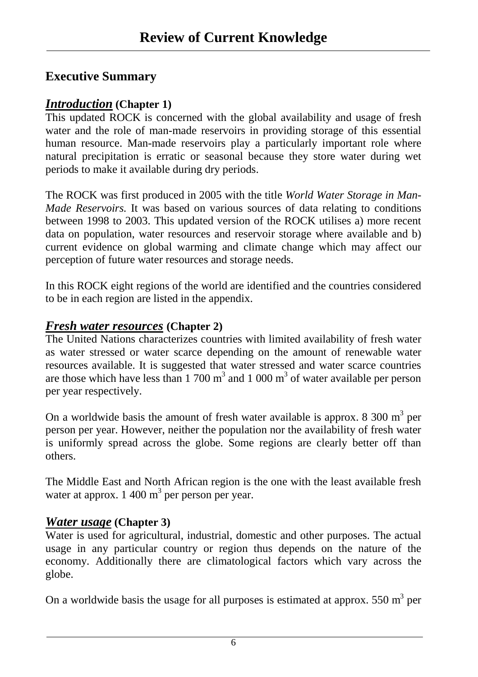### **Executive Summary**

### *Introduction* **(Chapter 1)**

This updated ROCK is concerned with the global availability and usage of fresh water and the role of man-made reservoirs in providing storage of this essential human resource. Man-made reservoirs play a particularly important role where natural precipitation is erratic or seasonal because they store water during wet periods to make it available during dry periods.

The ROCK was first produced in 2005 with the title *World Water Storage in Man-Made Reservoirs.* It was based on various sources of data relating to conditions between 1998 to 2003. This updated version of the ROCK utilises a) more recent data on population, water resources and reservoir storage where available and b) current evidence on global warming and climate change which may affect our perception of future water resources and storage needs.

In this ROCK eight regions of the world are identified and the countries considered to be in each region are listed in the appendix.

### *Fresh water resources* **(Chapter 2)**

The United Nations characterizes countries with limited availability of fresh water as water stressed or water scarce depending on the amount of renewable water resources available. It is suggested that water stressed and water scarce countries are those which have less than  $1700 \text{ m}^3$  and  $1000 \text{ m}^3$  of water available per person per year respectively.

On a worldwide basis the amount of fresh water available is approx.  $8\,300 \text{ m}^3$  per person per year. However, neither the population nor the availability of fresh water is uniformly spread across the globe. Some regions are clearly better off than others.

The Middle East and North African region is the one with the least available fresh water at approx.  $1\,400 \text{ m}^3$  per person per year.

### *Water usage* **(Chapter 3)**

Water is used for agricultural, industrial, domestic and other purposes. The actual usage in any particular country or region thus depends on the nature of the economy. Additionally there are climatological factors which vary across the globe.

On a worldwide basis the usage for all purposes is estimated at approx.  $550 \text{ m}^3$  per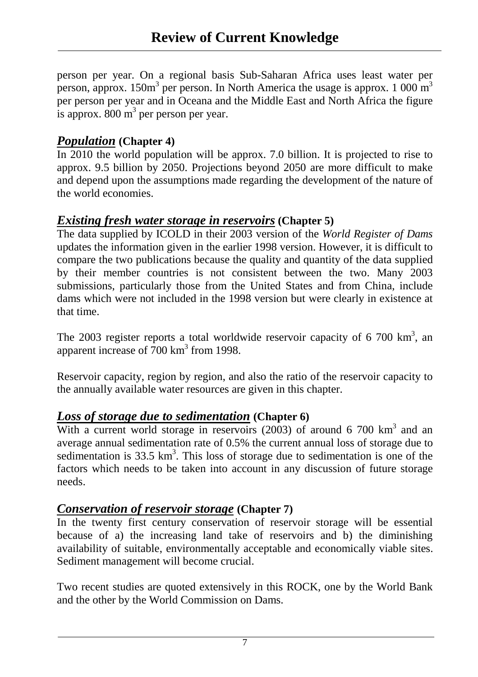person per year. On a regional basis Sub-Saharan Africa uses least water per person, approx.  $150m^3$  per person. In North America the usage is approx. 1 000 m<sup>3</sup> per person per year and in Oceana and the Middle East and North Africa the figure is approx.  $800 \text{ m}^3$  per person per year.

### *Population* **(Chapter 4)**

In 2010 the world population will be approx. 7.0 billion. It is projected to rise to approx. 9.5 billion by 2050. Projections beyond 2050 are more difficult to make and depend upon the assumptions made regarding the development of the nature of the world economies.

### *Existing fresh water storage in reservoirs* **(Chapter 5)**

The data supplied by ICOLD in their 2003 version of the *World Register of Dams* updates the information given in the earlier 1998 version. However, it is difficult to compare the two publications because the quality and quantity of the data supplied by their member countries is not consistent between the two. Many 2003 submissions, particularly those from the United States and from China, include dams which were not included in the 1998 version but were clearly in existence at that time.

The 2003 register reports a total worldwide reservoir capacity of 6 700  $km^3$ , an apparent increase of  $700 \text{ km}^3$  from 1998.

Reservoir capacity, region by region, and also the ratio of the reservoir capacity to the annually available water resources are given in this chapter.

### *Loss of storage due to sedimentation* **(Chapter 6)**

With a current world storage in reservoirs  $(2003)$  of around 6 700 km<sup>3</sup> and an average annual sedimentation rate of 0.5% the current annual loss of storage due to sedimentation is  $33.5 \text{ km}^3$ . This loss of storage due to sedimentation is one of the factors which needs to be taken into account in any discussion of future storage needs.

### *Conservation of reservoir storage* **(Chapter 7)**

In the twenty first century conservation of reservoir storage will be essential because of a) the increasing land take of reservoirs and b) the diminishing availability of suitable, environmentally acceptable and economically viable sites. Sediment management will become crucial.

Two recent studies are quoted extensively in this ROCK, one by the World Bank and the other by the World Commission on Dams.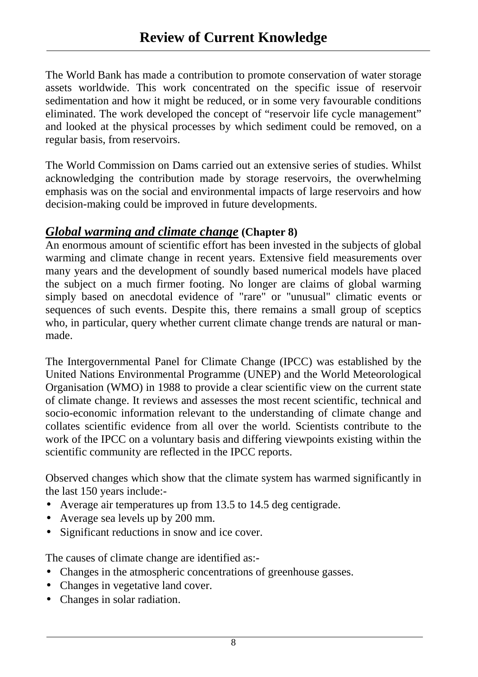The World Bank has made a contribution to promote conservation of water storage assets worldwide. This work concentrated on the specific issue of reservoir sedimentation and how it might be reduced, or in some very favourable conditions eliminated. The work developed the concept of "reservoir life cycle management" and looked at the physical processes by which sediment could be removed, on a regular basis, from reservoirs.

The World Commission on Dams carried out an extensive series of studies. Whilst acknowledging the contribution made by storage reservoirs, the overwhelming emphasis was on the social and environmental impacts of large reservoirs and how decision-making could be improved in future developments.

### *Global warming and climate change* **(Chapter 8)**

An enormous amount of scientific effort has been invested in the subjects of global warming and climate change in recent years. Extensive field measurements over many years and the development of soundly based numerical models have placed the subject on a much firmer footing. No longer are claims of global warming simply based on anecdotal evidence of "rare" or "unusual" climatic events or sequences of such events. Despite this, there remains a small group of sceptics who, in particular, query whether current climate change trends are natural or manmade.

The Intergovernmental Panel for Climate Change (IPCC) was established by the United Nations Environmental Programme (UNEP) and the World Meteorological Organisation (WMO) in 1988 to provide a clear scientific view on the current state of climate change. It reviews and assesses the most recent scientific, technical and socio-economic information relevant to the understanding of climate change and collates scientific evidence from all over the world. Scientists contribute to the work of the IPCC on a voluntary basis and differing viewpoints existing within the scientific community are reflected in the IPCC reports.

Observed changes which show that the climate system has warmed significantly in the last 150 years include:-

- Average air temperatures up from 13.5 to 14.5 deg centigrade.
- Average sea levels up by 200 mm.
- Significant reductions in snow and ice cover.

The causes of climate change are identified as:-

- Changes in the atmospheric concentrations of greenhouse gasses.
- Changes in vegetative land cover.
- Changes in solar radiation.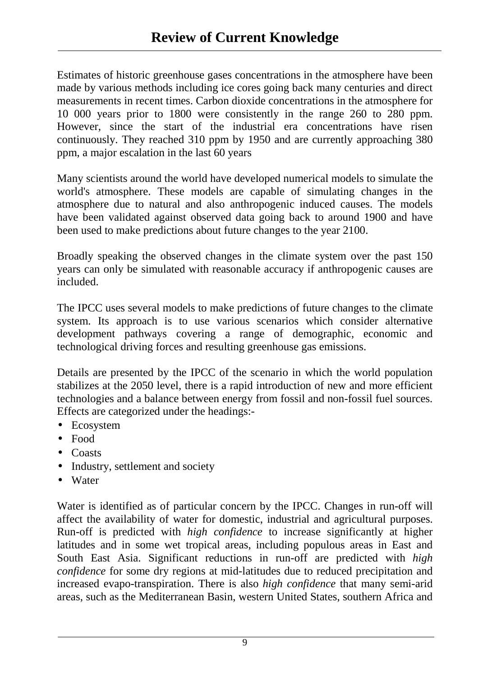Estimates of historic greenhouse gases concentrations in the atmosphere have been made by various methods including ice cores going back many centuries and direct measurements in recent times. Carbon dioxide concentrations in the atmosphere for 10 000 years prior to 1800 were consistently in the range 260 to 280 ppm. However, since the start of the industrial era concentrations have risen continuously. They reached 310 ppm by 1950 and are currently approaching 380 ppm, a major escalation in the last 60 years

Many scientists around the world have developed numerical models to simulate the world's atmosphere. These models are capable of simulating changes in the atmosphere due to natural and also anthropogenic induced causes. The models have been validated against observed data going back to around 1900 and have been used to make predictions about future changes to the year 2100.

Broadly speaking the observed changes in the climate system over the past 150 years can only be simulated with reasonable accuracy if anthropogenic causes are included.

The IPCC uses several models to make predictions of future changes to the climate system. Its approach is to use various scenarios which consider alternative development pathways covering a range of demographic, economic and technological driving forces and resulting greenhouse gas emissions.

Details are presented by the IPCC of the scenario in which the world population stabilizes at the 2050 level, there is a rapid introduction of new and more efficient technologies and a balance between energy from fossil and non-fossil fuel sources. Effects are categorized under the headings:-

- Ecosystem
- Food
- Coasts
- Industry, settlement and society
- Water

Water is identified as of particular concern by the IPCC. Changes in run-off will affect the availability of water for domestic, industrial and agricultural purposes. Run-off is predicted with *high confidence* to increase significantly at higher latitudes and in some wet tropical areas, including populous areas in East and South East Asia. Significant reductions in run-off are predicted with *high confidence* for some dry regions at mid-latitudes due to reduced precipitation and increased evapo-transpiration. There is also *high confidence* that many semi-arid areas, such as the Mediterranean Basin, western United States, southern Africa and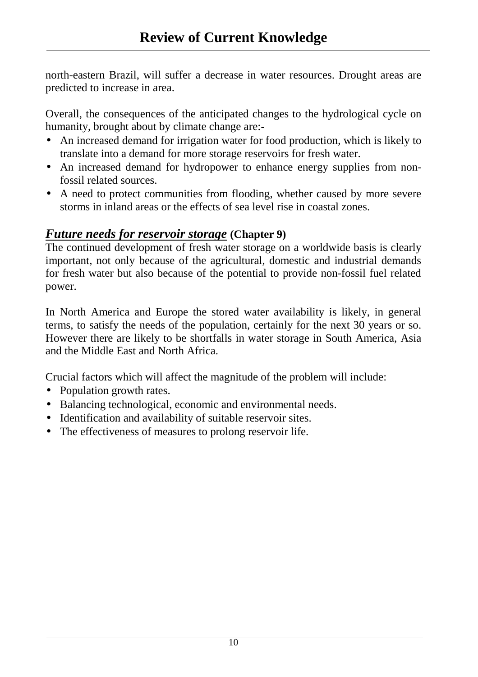north-eastern Brazil, will suffer a decrease in water resources. Drought areas are predicted to increase in area.

Overall, the consequences of the anticipated changes to the hydrological cycle on humanity, brought about by climate change are:-

- An increased demand for irrigation water for food production, which is likely to translate into a demand for more storage reservoirs for fresh water.
- An increased demand for hydropower to enhance energy supplies from nonfossil related sources.
- A need to protect communities from flooding, whether caused by more severe storms in inland areas or the effects of sea level rise in coastal zones.

### *Future needs for reservoir storage* **(Chapter 9)**

The continued development of fresh water storage on a worldwide basis is clearly important, not only because of the agricultural, domestic and industrial demands for fresh water but also because of the potential to provide non-fossil fuel related power.

In North America and Europe the stored water availability is likely, in general terms, to satisfy the needs of the population, certainly for the next 30 years or so. However there are likely to be shortfalls in water storage in South America, Asia and the Middle East and North Africa.

Crucial factors which will affect the magnitude of the problem will include:

- Population growth rates.
- Balancing technological, economic and environmental needs.
- Identification and availability of suitable reservoir sites.
- The effectiveness of measures to prolong reservoir life.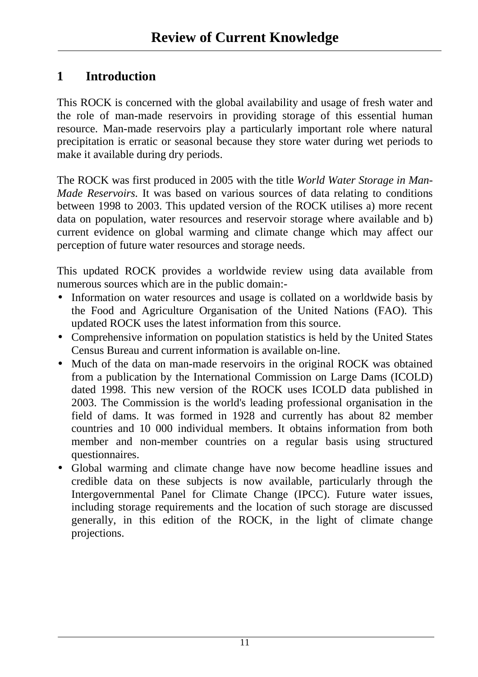### **1 Introduction**

This ROCK is concerned with the global availability and usage of fresh water and the role of man-made reservoirs in providing storage of this essential human resource. Man-made reservoirs play a particularly important role where natural precipitation is erratic or seasonal because they store water during wet periods to make it available during dry periods.

The ROCK was first produced in 2005 with the title *World Water Storage in Man-Made Reservoirs.* It was based on various sources of data relating to conditions between 1998 to 2003. This updated version of the ROCK utilises a) more recent data on population, water resources and reservoir storage where available and b) current evidence on global warming and climate change which may affect our perception of future water resources and storage needs.

This updated ROCK provides a worldwide review using data available from numerous sources which are in the public domain:-

- Information on water resources and usage is collated on a worldwide basis by the Food and Agriculture Organisation of the United Nations (FAO). This updated ROCK uses the latest information from this source.
- Comprehensive information on population statistics is held by the United States Census Bureau and current information is available on-line.
- Much of the data on man-made reservoirs in the original ROCK was obtained from a publication by the International Commission on Large Dams (ICOLD) dated 1998. This new version of the ROCK uses ICOLD data published in 2003. The Commission is the world's leading professional organisation in the field of dams. It was formed in 1928 and currently has about 82 member countries and 10 000 individual members. It obtains information from both member and non-member countries on a regular basis using structured questionnaires.
- Global warming and climate change have now become headline issues and credible data on these subjects is now available, particularly through the Intergovernmental Panel for Climate Change (IPCC). Future water issues, including storage requirements and the location of such storage are discussed generally, in this edition of the ROCK, in the light of climate change projections.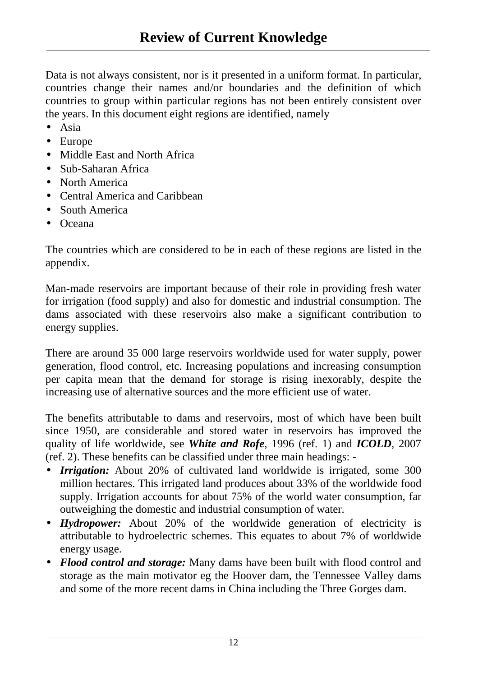Data is not always consistent, nor is it presented in a uniform format. In particular, countries change their names and/or boundaries and the definition of which countries to group within particular regions has not been entirely consistent over the years. In this document eight regions are identified, namely

- Asia
- Europe
- Middle East and North Africa
- Sub-Saharan Africa
- North America
- Central America and Caribbean
- South America
- Oceana

The countries which are considered to be in each of these regions are listed in the appendix.

Man-made reservoirs are important because of their role in providing fresh water for irrigation (food supply) and also for domestic and industrial consumption. The dams associated with these reservoirs also make a significant contribution to energy supplies.

There are around 35 000 large reservoirs worldwide used for water supply, power generation, flood control, etc. Increasing populations and increasing consumption per capita mean that the demand for storage is rising inexorably, despite the increasing use of alternative sources and the more efficient use of water.

The benefits attributable to dams and reservoirs, most of which have been built since 1950, are considerable and stored water in reservoirs has improved the quality of life worldwide, see *White and Rofe*, 1996 (ref. 1) and *ICOLD*, 2007 (ref. 2). These benefits can be classified under three main headings: -

- *Irrigation:* About 20% of cultivated land worldwide is irrigated, some 300 million hectares. This irrigated land produces about 33% of the worldwide food supply. Irrigation accounts for about 75% of the world water consumption, far outweighing the domestic and industrial consumption of water.
- *Hydropower:* About 20% of the worldwide generation of electricity is attributable to hydroelectric schemes. This equates to about 7% of worldwide energy usage.
- *Flood control and storage:* Many dams have been built with flood control and storage as the main motivator eg the Hoover dam, the Tennessee Valley dams and some of the more recent dams in China including the Three Gorges dam.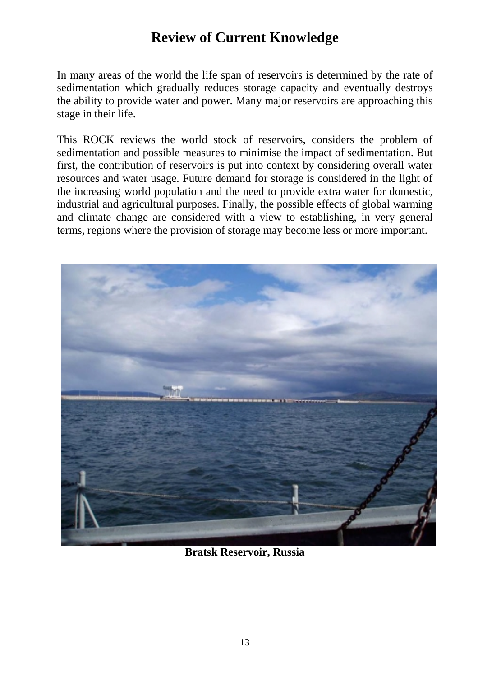In many areas of the world the life span of reservoirs is determined by the rate of sedimentation which gradually reduces storage capacity and eventually destroys the ability to provide water and power. Many major reservoirs are approaching this stage in their life.

This ROCK reviews the world stock of reservoirs, considers the problem of sedimentation and possible measures to minimise the impact of sedimentation. But first, the contribution of reservoirs is put into context by considering overall water resources and water usage. Future demand for storage is considered in the light of the increasing world population and the need to provide extra water for domestic, industrial and agricultural purposes. Finally, the possible effects of global warming and climate change are considered with a view to establishing, in very general terms, regions where the provision of storage may become less or more important.



**Bratsk Reservoir, Russia**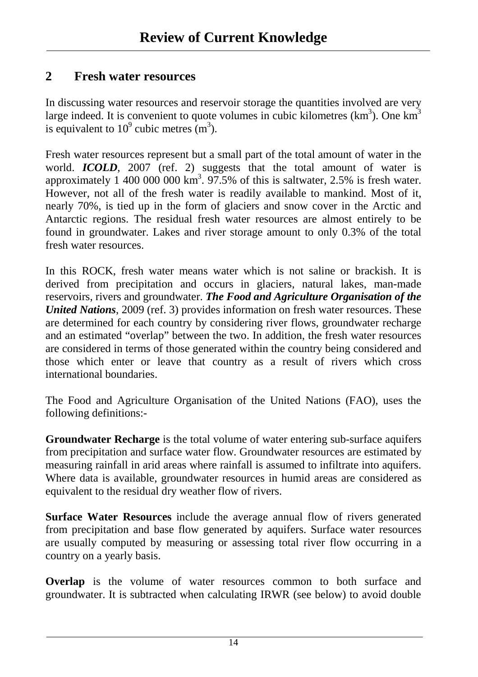### **2 Fresh water resources**

In discussing water resources and reservoir storage the quantities involved are very large indeed. It is convenient to quote volumes in cubic kilometres  $(km^3)$ . One  $km^3$ is equivalent to  $10^9$  cubic metres  $(m^3)$ .

Fresh water resources represent but a small part of the total amount of water in the world. *ICOLD*, 2007 (ref. 2) suggests that the total amount of water is approximately 1 400 000 000 km<sup>3</sup>. 97.5% of this is saltwater, 2.5% is fresh water. However, not all of the fresh water is readily available to mankind. Most of it, nearly 70%, is tied up in the form of glaciers and snow cover in the Arctic and Antarctic regions. The residual fresh water resources are almost entirely to be found in groundwater. Lakes and river storage amount to only 0.3% of the total fresh water resources.

In this ROCK, fresh water means water which is not saline or brackish. It is derived from precipitation and occurs in glaciers, natural lakes, man-made reservoirs, rivers and groundwater. *The Food and Agriculture Organisation of the United Nations*, 2009 (ref. 3) provides information on fresh water resources. These are determined for each country by considering river flows, groundwater recharge and an estimated "overlap" between the two. In addition, the fresh water resources are considered in terms of those generated within the country being considered and those which enter or leave that country as a result of rivers which cross international boundaries.

The Food and Agriculture Organisation of the United Nations (FAO), uses the following definitions:-

**Groundwater Recharge** is the total volume of water entering sub-surface aquifers from precipitation and surface water flow. Groundwater resources are estimated by measuring rainfall in arid areas where rainfall is assumed to infiltrate into aquifers. Where data is available, groundwater resources in humid areas are considered as equivalent to the residual dry weather flow of rivers.

**Surface Water Resources** include the average annual flow of rivers generated from precipitation and base flow generated by aquifers. Surface water resources are usually computed by measuring or assessing total river flow occurring in a country on a yearly basis.

**Overlap** is the volume of water resources common to both surface and groundwater. It is subtracted when calculating IRWR (see below) to avoid double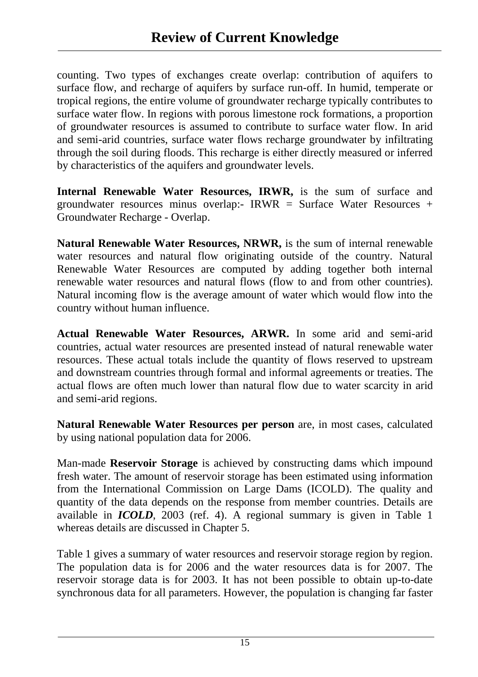counting. Two types of exchanges create overlap: contribution of aquifers to surface flow, and recharge of aquifers by surface run-off. In humid, temperate or tropical regions, the entire volume of groundwater recharge typically contributes to surface water flow. In regions with porous limestone rock formations, a proportion of groundwater resources is assumed to contribute to surface water flow. In arid and semi-arid countries, surface water flows recharge groundwater by infiltrating through the soil during floods. This recharge is either directly measured or inferred by characteristics of the aquifers and groundwater levels.

**Internal Renewable Water Resources, IRWR, is the sum of surface and** groundwater resources minus overlap:- IRWR = Surface Water Resources  $+$ Groundwater Recharge - Overlap.

**Natural Renewable Water Resources, NRWR,** is the sum of internal renewable water resources and natural flow originating outside of the country. Natural Renewable Water Resources are computed by adding together both internal renewable water resources and natural flows (flow to and from other countries). Natural incoming flow is the average amount of water which would flow into the country without human influence.

**Actual Renewable Water Resources, ARWR.** In some arid and semi-arid countries, actual water resources are presented instead of natural renewable water resources. These actual totals include the quantity of flows reserved to upstream and downstream countries through formal and informal agreements or treaties. The actual flows are often much lower than natural flow due to water scarcity in arid and semi-arid regions.

**Natural Renewable Water Resources per person** are, in most cases, calculated by using national population data for 2006.

Man-made **Reservoir Storage** is achieved by constructing dams which impound fresh water. The amount of reservoir storage has been estimated using information from the International Commission on Large Dams (ICOLD). The quality and quantity of the data depends on the response from member countries. Details are available in *ICOLD*, 2003 (ref. 4). A regional summary is given in Table 1 whereas details are discussed in Chapter 5.

Table 1 gives a summary of water resources and reservoir storage region by region. The population data is for 2006 and the water resources data is for 2007. The reservoir storage data is for 2003. It has not been possible to obtain up-to-date synchronous data for all parameters. However, the population is changing far faster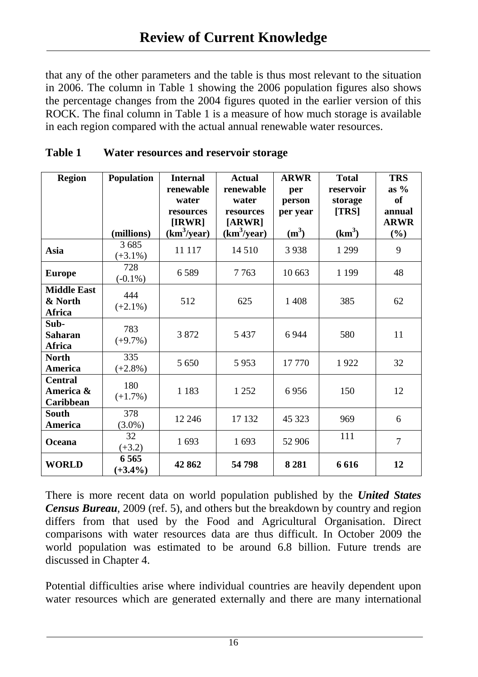that any of the other parameters and the table is thus most relevant to the situation in 2006. The column in Table 1 showing the 2006 population figures also shows the percentage changes from the 2004 figures quoted in the earlier version of this ROCK. The final column in Table 1 is a measure of how much storage is available in each region compared with the actual annual renewable water resources.

| <b>Region</b>                                   | <b>Population</b><br>(millions) | <b>Internal</b><br>renewable<br>water<br>resources<br>[IRWR]<br>(km <sup>3</sup> /year) | <b>Actual</b><br>renewable<br>water<br>resources<br>[ARWR]<br>(km <sup>3</sup> /year) | <b>ARWR</b><br>per<br>person<br>per year<br>$(m^3)$ | <b>Total</b><br>reservoir<br>storage<br>[TRS]<br>(km <sup>3</sup> ) | <b>TRS</b><br>as $%$<br><b>of</b><br>annual<br><b>ARWR</b><br>$(\%)$ |
|-------------------------------------------------|---------------------------------|-----------------------------------------------------------------------------------------|---------------------------------------------------------------------------------------|-----------------------------------------------------|---------------------------------------------------------------------|----------------------------------------------------------------------|
| <b>Asia</b>                                     | 3685<br>$(+3.1\%)$              | 11 117                                                                                  | 14 510                                                                                | 3938                                                | 1 2 9 9                                                             | 9                                                                    |
| <b>Europe</b>                                   | 728<br>$(-0.1\%)$               | 6589                                                                                    | 7763                                                                                  | 10 663                                              | 1 1 9 9                                                             | 48                                                                   |
| <b>Middle East</b><br>& North<br><b>Africa</b>  | 444<br>$(+2.1\%)$               | 512                                                                                     | 625                                                                                   | 1 4 0 8                                             | 385                                                                 | 62                                                                   |
| Sub-<br><b>Saharan</b><br>Africa                | 783<br>$(+9.7\%)$               | 3872                                                                                    | 5 4 3 7                                                                               | 6944                                                | 580                                                                 | 11                                                                   |
| <b>North</b><br>America                         | 335<br>$(+2.8\%)$               | 5 6 5 0                                                                                 | 5953                                                                                  | 17 770                                              | 1922                                                                | 32                                                                   |
| <b>Central</b><br>America &<br><b>Caribbean</b> | 180<br>$(+1.7%)$                | 1 1 8 3                                                                                 | 1 2 5 2                                                                               | 6956                                                | 150                                                                 | 12                                                                   |
| <b>South</b><br>America                         | 378<br>$(3.0\%)$                | 12 24 6                                                                                 | 17 132                                                                                | 45 323                                              | 969                                                                 | 6                                                                    |
| Oceana                                          | 32<br>$(+3.2)$                  | 1 693                                                                                   | 1 693                                                                                 | 52 906                                              | 111                                                                 | $\overline{7}$                                                       |
| <b>WORLD</b>                                    | 6 5 6 5<br>$(+3.4\%)$           | 42 862                                                                                  | 54798                                                                                 | 8 2 8 1                                             | 6616                                                                | 12                                                                   |

| <b>Table 1</b> | Water resources and reservoir storage |
|----------------|---------------------------------------|
|                |                                       |

There is more recent data on world population published by the *United States Census Bureau*, 2009 (ref. 5), and others but the breakdown by country and region differs from that used by the Food and Agricultural Organisation. Direct comparisons with water resources data are thus difficult. In October 2009 the world population was estimated to be around 6.8 billion. Future trends are discussed in Chapter 4.

Potential difficulties arise where individual countries are heavily dependent upon water resources which are generated externally and there are many international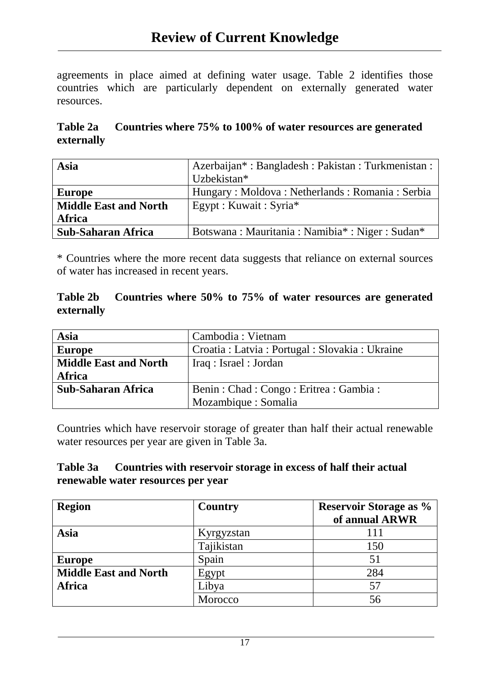agreements in place aimed at defining water usage. Table 2 identifies those countries which are particularly dependent on externally generated water resources.

### **Table 2a Countries where 75% to 100% of water resources are generated externally**

| Asia                         | Azerbaijan*: Bangladesh: Pakistan: Turkmenistan: |  |
|------------------------------|--------------------------------------------------|--|
|                              | Uzbekistan*                                      |  |
| <b>Europe</b>                | Hungary: Moldova: Netherlands: Romania: Serbia   |  |
| <b>Middle East and North</b> | Egypt : Kuwait : Syria*                          |  |
| <b>Africa</b>                |                                                  |  |
| <b>Sub-Saharan Africa</b>    | Botswana: Mauritania: Namibia*: Niger: Sudan*    |  |

\* Countries where the more recent data suggests that reliance on external sources of water has increased in recent years.

#### **Table 2b Countries where 50% to 75% of water resources are generated externally**

| <b>Asia</b>                  | Cambodia : Vietnam                               |  |
|------------------------------|--------------------------------------------------|--|
| <b>Europe</b>                | Croatia : Latvia : Portugal : Slovakia : Ukraine |  |
| <b>Middle East and North</b> | Iraq: Israel: Jordan                             |  |
| <b>Africa</b>                |                                                  |  |
| <b>Sub-Saharan Africa</b>    | Benin: Chad: Congo: Eritrea: Gambia:             |  |
|                              | Mozambique : Somalia                             |  |

Countries which have reservoir storage of greater than half their actual renewable water resources per year are given in Table 3a.

#### **Table 3a Countries with reservoir storage in excess of half their actual renewable water resources per year**

| <b>Region</b>                | <b>Country</b> | <b>Reservoir Storage as %</b> |
|------------------------------|----------------|-------------------------------|
|                              |                | of annual ARWR                |
| Asia                         | Kyrgyzstan     |                               |
|                              | Tajikistan     | 150                           |
| <b>Europe</b>                | Spain          | 51                            |
| <b>Middle East and North</b> | Egypt          | 284                           |
| <b>Africa</b>                | Libya          | 57                            |
|                              | Morocco        | 56                            |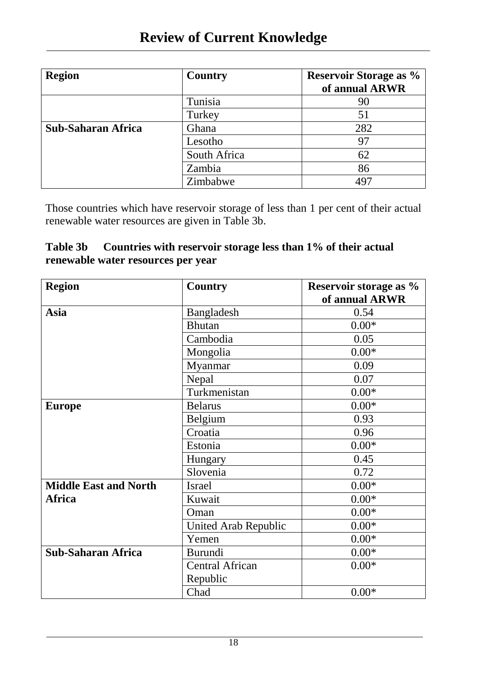| <b>Region</b>             | Country      | <b>Reservoir Storage as %</b><br>of annual ARWR |
|---------------------------|--------------|-------------------------------------------------|
|                           | Tunisia      | 90                                              |
|                           | Turkey       | 51                                              |
| <b>Sub-Saharan Africa</b> | Ghana        | 282                                             |
|                           | Lesotho      | 97                                              |
|                           | South Africa | 62                                              |
|                           | Zambia       | 86                                              |
|                           | Zimbabwe     | 497                                             |

Those countries which have reservoir storage of less than 1 per cent of their actual renewable water resources are given in Table 3b.

### **Table 3b Countries with reservoir storage less than 1% of their actual renewable water resources per year**

| <b>Region</b>                | <b>Country</b>              | Reservoir storage as % |
|------------------------------|-----------------------------|------------------------|
|                              |                             | of annual ARWR         |
| <b>Asia</b>                  | Bangladesh                  | 0.54                   |
|                              | <b>Bhutan</b>               | $0.00*$                |
|                              | Cambodia                    | 0.05                   |
|                              | Mongolia                    | $0.00*$                |
|                              | Myanmar                     | 0.09                   |
|                              | Nepal                       | 0.07                   |
|                              | Turkmenistan                | $0.00*$                |
| <b>Europe</b>                | <b>Belarus</b>              | $0.00*$                |
|                              | Belgium                     | 0.93                   |
|                              | Croatia                     | 0.96                   |
|                              | Estonia                     | $0.00*$                |
|                              | Hungary                     | 0.45                   |
|                              | Slovenia                    | 0.72                   |
| <b>Middle East and North</b> | <b>Israel</b>               | $0.00*$                |
| Africa                       | Kuwait                      | $0.00*$                |
|                              | Oman                        | $0.00*$                |
|                              | <b>United Arab Republic</b> | $0.00*$                |
|                              | Yemen                       | $0.00*$                |
| <b>Sub-Saharan Africa</b>    | <b>Burundi</b>              | $0.00*$                |
|                              | <b>Central African</b>      | $0.00*$                |
|                              | Republic                    |                        |
|                              | Chad                        | $0.00*$                |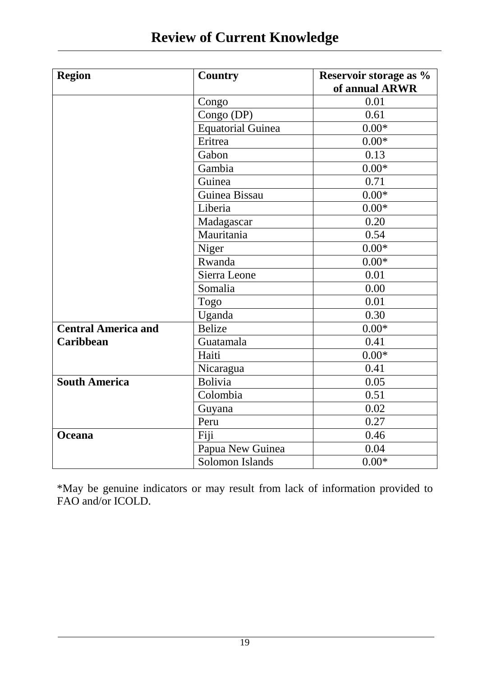| <b>Region</b>              | <b>Country</b>           | Reservoir storage as %<br>of annual ARWR |
|----------------------------|--------------------------|------------------------------------------|
|                            | Congo                    | 0.01                                     |
|                            | Congo (DP)               | 0.61                                     |
|                            | <b>Equatorial Guinea</b> | $0.00*$                                  |
|                            | Eritrea                  | $0.00*$                                  |
|                            | Gabon                    | 0.13                                     |
|                            | Gambia                   | $0.00*$                                  |
|                            | Guinea                   | 0.71                                     |
|                            | Guinea Bissau            | $0.00*$                                  |
|                            | Liberia                  | $0.00*$                                  |
|                            | Madagascar               | 0.20                                     |
|                            | Mauritania               | 0.54                                     |
|                            | Niger                    | $0.00*$                                  |
|                            | Rwanda                   | $0.00*$                                  |
|                            | Sierra Leone             | 0.01                                     |
|                            | Somalia                  | 0.00                                     |
|                            | Togo                     | 0.01                                     |
|                            | Uganda                   | 0.30                                     |
| <b>Central America and</b> | <b>Belize</b>            | $0.00*$                                  |
| <b>Caribbean</b>           | Guatamala                | 0.41                                     |
|                            | Haiti                    | $0.00*$                                  |
|                            | Nicaragua                | 0.41                                     |
| <b>South America</b>       | <b>Bolivia</b>           | 0.05                                     |
|                            | Colombia                 | 0.51                                     |
|                            | Guyana                   | 0.02                                     |
|                            | Peru                     | 0.27                                     |
| Oceana                     | Fiji                     | 0.46                                     |
|                            | Papua New Guinea         | 0.04                                     |
|                            | Solomon Islands          | $0.00*$                                  |

\*May be genuine indicators or may result from lack of information provided to FAO and/or ICOLD.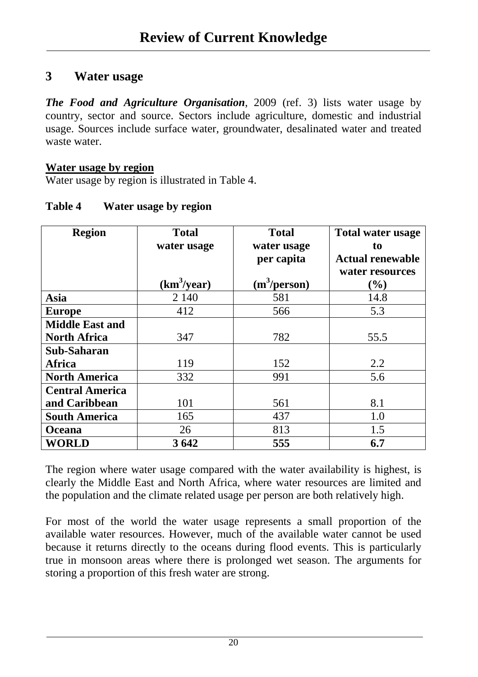### **3 Water usage**

*The Food and Agriculture Organisation*, 2009 (ref. 3) lists water usage by country, sector and source. Sectors include agriculture, domestic and industrial usage. Sources include surface water, groundwater, desalinated water and treated waste water.

#### **Water usage by region**

Water usage by region is illustrated in Table 4.

| <b>Region</b>          | <b>Total</b>            | <b>Total</b>             | <b>Total water usage</b> |
|------------------------|-------------------------|--------------------------|--------------------------|
|                        | water usage             | water usage              | to                       |
|                        |                         | per capita               | <b>Actual renewable</b>  |
|                        |                         |                          | water resources          |
|                        | (km <sup>3</sup> /year) | (m <sup>3</sup> /person) | $(\%)$                   |
| <b>Asia</b>            | 2 140                   | 581                      | 14.8                     |
| <b>Europe</b>          | 412                     | 566                      | 5.3                      |
| <b>Middle East and</b> |                         |                          |                          |
| <b>North Africa</b>    | 347                     | 782                      | 55.5                     |
| Sub-Saharan            |                         |                          |                          |
| <b>Africa</b>          | 119                     | 152                      | 2.2                      |
| <b>North America</b>   | 332                     | 991                      | 5.6                      |
| <b>Central America</b> |                         |                          |                          |
| and Caribbean          | 101                     | 561                      | 8.1                      |
| <b>South America</b>   | 165                     | 437                      | 1.0                      |
| <b>Oceana</b>          | 26                      | 813                      | 1.5                      |
| <b>WORLD</b>           | 3 642                   | 555                      | 6.7                      |

#### **Table 4 Water usage by region**

The region where water usage compared with the water availability is highest, is clearly the Middle East and North Africa, where water resources are limited and the population and the climate related usage per person are both relatively high.

For most of the world the water usage represents a small proportion of the available water resources. However, much of the available water cannot be used because it returns directly to the oceans during flood events. This is particularly true in monsoon areas where there is prolonged wet season. The arguments for storing a proportion of this fresh water are strong.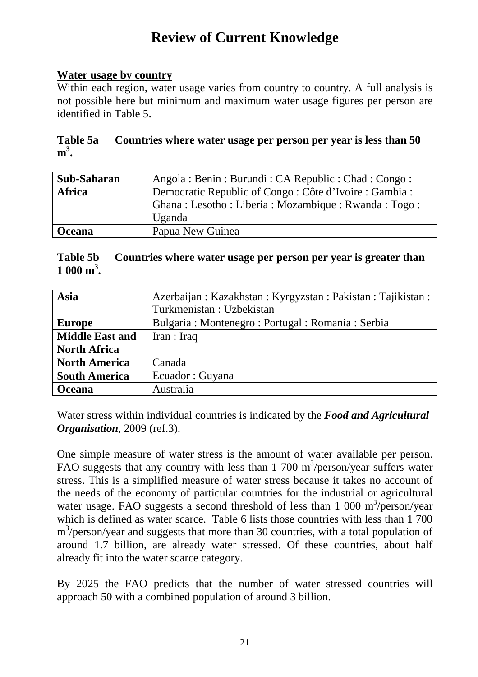### **Water usage by country**

Within each region, water usage varies from country to country. A full analysis is not possible here but minimum and maximum water usage figures per person are identified in Table 5.

|         | Table 5a Countries where water usage per person per year is less than 50 |
|---------|--------------------------------------------------------------------------|
| $m^3$ . |                                                                          |

| Sub-Saharan   | Angola: Benin: Burundi: CA Republic: Chad: Congo:      |  |  |  |
|---------------|--------------------------------------------------------|--|--|--|
| <b>Africa</b> | Democratic Republic of Congo: Côte d'Ivoire : Gambia : |  |  |  |
|               | Ghana: Lesotho: Liberia: Mozambique: Rwanda: Togo:     |  |  |  |
|               | Uganda                                                 |  |  |  |
| <b>Oceana</b> | Papua New Guinea                                       |  |  |  |

#### **Table 5b Countries where water usage per person per year is greater than**   $1000 \text{ m}^3$ .

| Asia                   | Azerbaijan: Kazakhstan: Kyrgyzstan: Pakistan: Tajikistan: |  |  |
|------------------------|-----------------------------------------------------------|--|--|
|                        | Turkmenistan: Uzbekistan                                  |  |  |
| <b>Europe</b>          | Bulgaria : Montenegro : Portugal : Romania : Serbia       |  |  |
| <b>Middle East and</b> | Iran : Iraq                                               |  |  |
| <b>North Africa</b>    |                                                           |  |  |
| <b>North America</b>   | Canada                                                    |  |  |
| <b>South America</b>   | Ecuador: Guyana                                           |  |  |
| <b>Oceana</b>          | Australia                                                 |  |  |

Water stress within individual countries is indicated by the *Food and Agricultural Organisation*, 2009 (ref.3).

One simple measure of water stress is the amount of water available per person. FAO suggests that any country with less than  $1,700 \text{ m}^3/\text{person/year}$  suffers water stress. This is a simplified measure of water stress because it takes no account of the needs of the economy of particular countries for the industrial or agricultural water usage. FAO suggests a second threshold of less than  $1\,000\ \text{m}^3/\text{person}/\text{year}$ which is defined as water scarce. Table 6 lists those countries with less than 1 700 m<sup>3</sup>/person/year and suggests that more than 30 countries, with a total population of around 1.7 billion, are already water stressed. Of these countries, about half already fit into the water scarce category.

By 2025 the FAO predicts that the number of water stressed countries will approach 50 with a combined population of around 3 billion.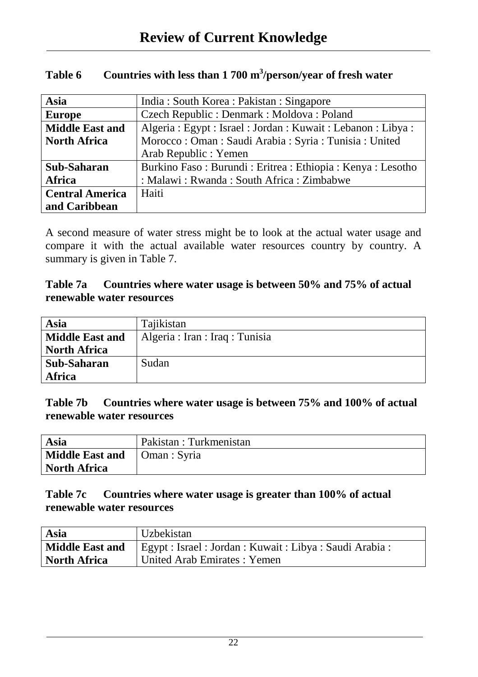| <b>Asia</b>            | India: South Korea: Pakistan: Singapore                        |  |  |  |
|------------------------|----------------------------------------------------------------|--|--|--|
| <b>Europe</b>          | Czech Republic: Denmark: Moldova: Poland                       |  |  |  |
| <b>Middle East and</b> | Algeria : Egypt : Israel : Jordan : Kuwait : Lebanon : Libya : |  |  |  |
| <b>North Africa</b>    | Morocco: Oman : Saudi Arabia : Syria : Tunisia : United        |  |  |  |
|                        | Arab Republic : Yemen                                          |  |  |  |
| Sub-Saharan            | Burkino Faso: Burundi: Eritrea: Ethiopia: Kenya: Lesotho       |  |  |  |
| Africa                 | : Malawi : Rwanda : South Africa : Zimbabwe                    |  |  |  |
| <b>Central America</b> | Haiti                                                          |  |  |  |
| and Caribbean          |                                                                |  |  |  |

### Table 6 Countries with less than 1 700 m<sup>3</sup>/person/year of fresh water

A second measure of water stress might be to look at the actual water usage and compare it with the actual available water resources country by country. A summary is given in Table 7.

#### **Table 7a Countries where water usage is between 50% and 75% of actual renewable water resources**

| Asia                   | Tajikistan                      |
|------------------------|---------------------------------|
| <b>Middle East and</b> | Algeria : Iran : Iraq : Tunisia |
| <b>North Africa</b>    |                                 |
| Sub-Saharan            | Sudan                           |
| <b>Africa</b>          |                                 |

#### **Table 7b Countries where water usage is between 75% and 100% of actual renewable water resources**

| Asia                   | Pakistan : Turkmenistan |
|------------------------|-------------------------|
| <b>Middle East and</b> | Oman : Syria            |
| North Africa           |                         |

#### **Table 7c Countries where water usage is greater than 100% of actual renewable water resources**

| Asia                   | Uzbekistan                                                |
|------------------------|-----------------------------------------------------------|
| <b>Middle East and</b> | Egypt : Israel : Jordan : Kuwait : Libya : Saudi Arabia : |
| <b>North Africa</b>    | United Arab Emirates: Yemen                               |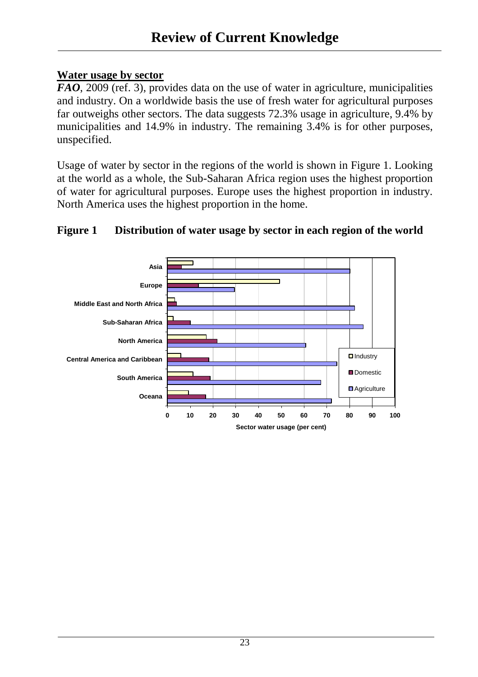#### **Water usage by sector**

*FAO*, 2009 (ref. 3), provides data on the use of water in agriculture, municipalities and industry. On a worldwide basis the use of fresh water for agricultural purposes far outweighs other sectors. The data suggests 72.3% usage in agriculture, 9.4% by municipalities and 14.9% in industry. The remaining 3.4% is for other purposes, unspecified.

Usage of water by sector in the regions of the world is shown in Figure 1. Looking at the world as a whole, the Sub-Saharan Africa region uses the highest proportion of water for agricultural purposes. Europe uses the highest proportion in industry. North America uses the highest proportion in the home.



### **Figure 1 Distribution of water usage by sector in each region of the world**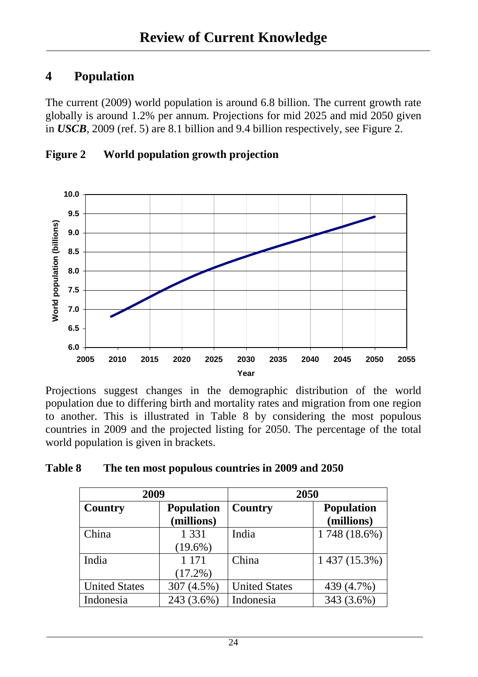### **4 Population**

The current (2009) world population is around 6.8 billion. The current growth rate globally is around 1.2% per annum. Projections for mid 2025 and mid 2050 given in *USCB*, 2009 (ref. 5) are 8.1 billion and 9.4 billion respectively, see Figure 2.





Projections suggest changes in the demographic distribution of the world population due to differing birth and mortality rates and migration from one region to another. This is illustrated in Table 8 by considering the most populous countries in 2009 and the projected listing for 2050. The percentage of the total world population is given in brackets.

| <b>Table 8</b> | The ten most populous countries in 2009 and 2050 |
|----------------|--------------------------------------------------|
|----------------|--------------------------------------------------|

| 2009                                |            | 2050                 |                   |
|-------------------------------------|------------|----------------------|-------------------|
| <b>Population</b><br><b>Country</b> |            | Country              | <b>Population</b> |
|                                     | (millions) |                      | (millions)        |
| China                               | 1 3 3 1    | India                | 1748 (18.6%)      |
|                                     | $(19.6\%)$ |                      |                   |
| India                               | 1 1 7 1    | China                | 1 437 (15.3%)     |
|                                     | $(17.2\%)$ |                      |                   |
| <b>United States</b>                | 307 (4.5%) | <b>United States</b> | 439 (4.7%)        |
| Indonesia                           | 243 (3.6%) | Indonesia            | 343 (3.6%)        |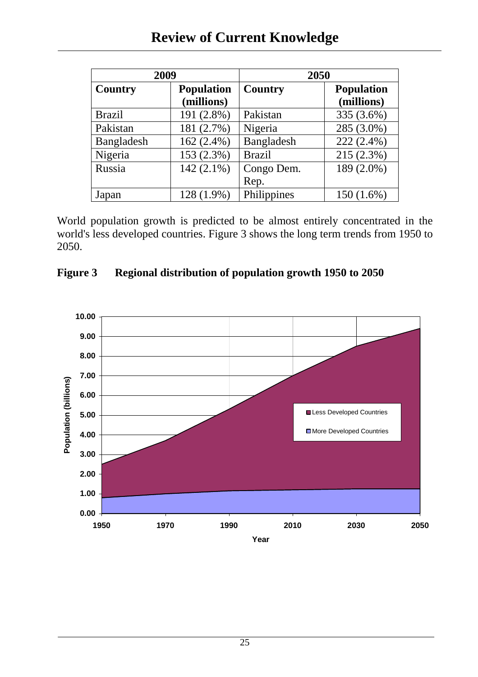| 2009           |                                 | 2050          |                                 |
|----------------|---------------------------------|---------------|---------------------------------|
| <b>Country</b> | <b>Population</b><br>(millions) | Country       | <b>Population</b><br>(millions) |
| <b>Brazil</b>  | 191 (2.8%)                      | Pakistan      | 335 (3.6%)                      |
| Pakistan       | 181 (2.7%)                      | Nigeria       | 285 (3.0%)                      |
| Bangladesh     | $162(2.4\%)$                    | Bangladesh    | 222 (2.4%)                      |
| Nigeria        | 153 (2.3%)                      | <b>Brazil</b> | 215(2.3%)                       |
| Russia         | $142(2.1\%)$                    | Congo Dem.    | 189 (2.0%)                      |
|                |                                 | Rep.          |                                 |
| Japan          | 128 (1.9%)                      | Philippines   | $150(1.6\%)$                    |

World population growth is predicted to be almost entirely concentrated in the world's less developed countries. Figure 3 shows the long term trends from 1950 to 2050.



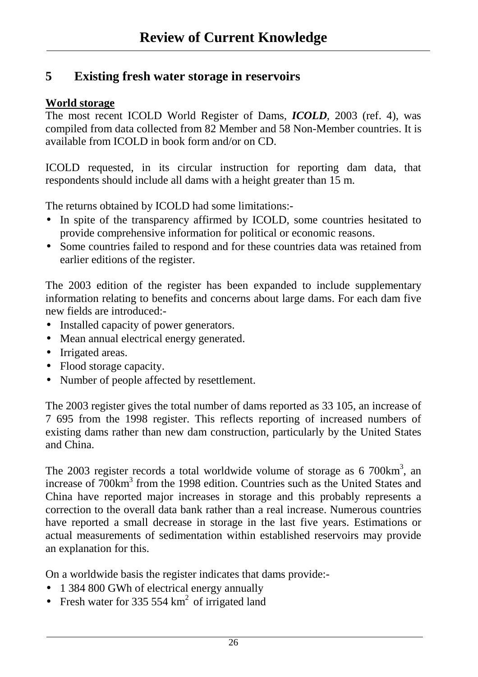### **5 Existing fresh water storage in reservoirs**

#### **World storage**

The most recent ICOLD World Register of Dams, *ICOLD*, 2003 (ref. 4), was compiled from data collected from 82 Member and 58 Non-Member countries. It is available from ICOLD in book form and/or on CD.

ICOLD requested, in its circular instruction for reporting dam data, that respondents should include all dams with a height greater than 15 m.

The returns obtained by ICOLD had some limitations:-

- In spite of the transparency affirmed by ICOLD, some countries hesitated to provide comprehensive information for political or economic reasons.
- Some countries failed to respond and for these countries data was retained from earlier editions of the register.

The 2003 edition of the register has been expanded to include supplementary information relating to benefits and concerns about large dams. For each dam five new fields are introduced:-

- Installed capacity of power generators.
- Mean annual electrical energy generated.
- Irrigated areas.
- Flood storage capacity.
- Number of people affected by resettlement.

The 2003 register gives the total number of dams reported as 33 105, an increase of 7 695 from the 1998 register. This reflects reporting of increased numbers of existing dams rather than new dam construction, particularly by the United States and China.

The 2003 register records a total worldwide volume of storage as  $6\,700 \text{km}^3$ , an increase of 700km<sup>3</sup> from the 1998 edition. Countries such as the United States and China have reported major increases in storage and this probably represents a correction to the overall data bank rather than a real increase. Numerous countries have reported a small decrease in storage in the last five years. Estimations or actual measurements of sedimentation within established reservoirs may provide an explanation for this.

On a worldwide basis the register indicates that dams provide:-

- 1 384 800 GWh of electrical energy annually
- Fresh water for 335 554  $km^2$  of irrigated land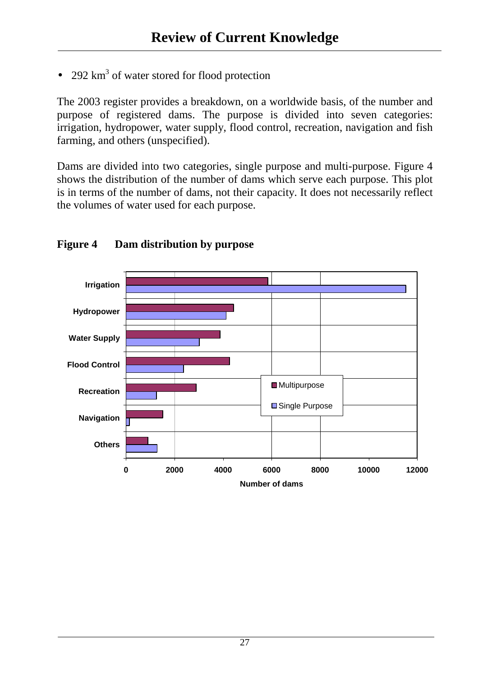• 292  $km^3$  of water stored for flood protection

The 2003 register provides a breakdown, on a worldwide basis, of the number and purpose of registered dams. The purpose is divided into seven categories: irrigation, hydropower, water supply, flood control, recreation, navigation and fish farming, and others (unspecified).

Dams are divided into two categories, single purpose and multi-purpose. Figure 4 shows the distribution of the number of dams which serve each purpose. This plot is in terms of the number of dams, not their capacity. It does not necessarily reflect the volumes of water used for each purpose.



### **Figure 4 Dam distribution by purpose**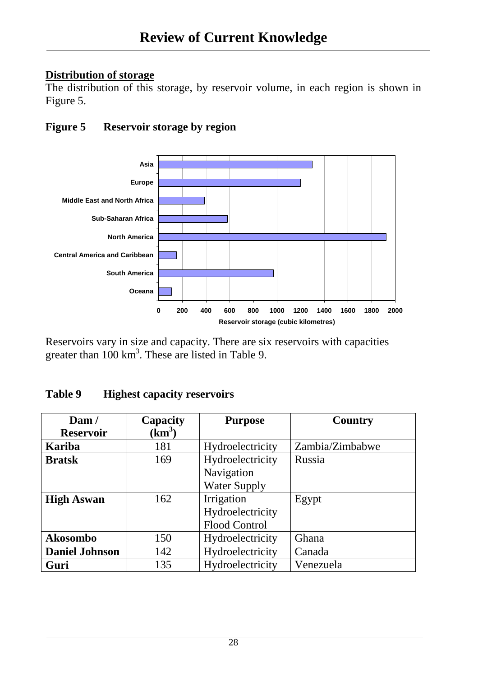### **Distribution of storage**

The distribution of this storage, by reservoir volume, in each region is shown in Figure 5.

### **Figure 5 Reservoir storage by region**



Reservoirs vary in size and capacity. There are six reservoirs with capacities greater than  $100 \text{ km}^3$ . These are listed in Table 9.

| Table 9 | <b>Highest capacity reservoirs</b> |  |
|---------|------------------------------------|--|
|---------|------------------------------------|--|

| $\mathrm{Dam}/$       | Capacity | <b>Purpose</b>       | <b>Country</b>  |
|-----------------------|----------|----------------------|-----------------|
| <b>Reservoir</b>      | $(km^3)$ |                      |                 |
| Kariba                | 181      | Hydroelectricity     | Zambia/Zimbabwe |
| <b>Bratsk</b>         | 169      | Hydroelectricity     | Russia          |
|                       |          | Navigation           |                 |
|                       |          | <b>Water Supply</b>  |                 |
| <b>High Aswan</b>     | 162      | Irrigation           | Egypt           |
|                       |          | Hydroelectricity     |                 |
|                       |          | <b>Flood Control</b> |                 |
| Akosombo              | 150      | Hydroelectricity     | Ghana           |
| <b>Daniel Johnson</b> | 142      | Hydroelectricity     | Canada          |
| Guri                  | 135      | Hydroelectricity     | Venezuela       |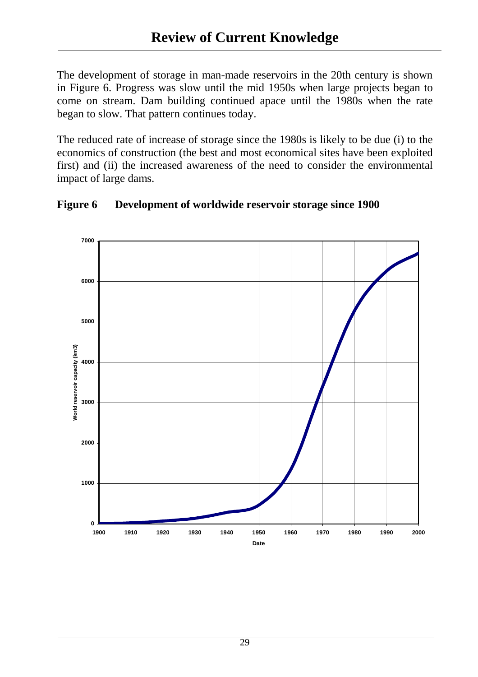The development of storage in man-made reservoirs in the 20th century is shown in Figure 6. Progress was slow until the mid 1950s when large projects began to come on stream. Dam building continued apace until the 1980s when the rate began to slow. That pattern continues today.

The reduced rate of increase of storage since the 1980s is likely to be due (i) to the economics of construction (the best and most economical sites have been exploited first) and (ii) the increased awareness of the need to consider the environmental impact of large dams.



**Figure 6 Development of worldwide reservoir storage since 1900**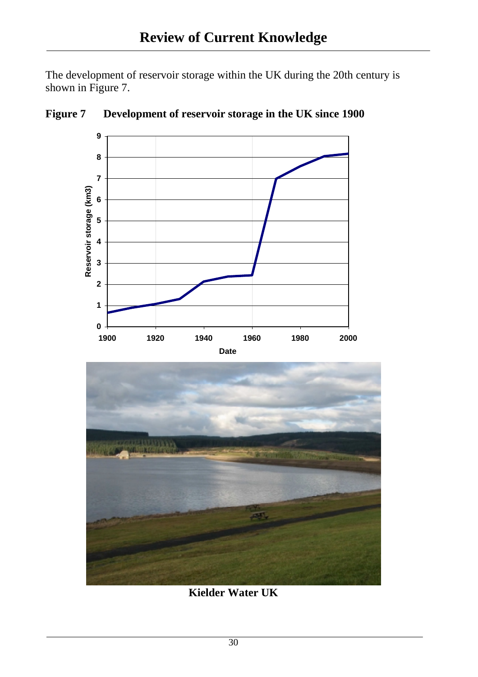The development of reservoir storage within the UK during the 20th century is shown in Figure 7.



**Figure 7 Development of reservoir storage in the UK since 1900** 



**Kielder Water UK**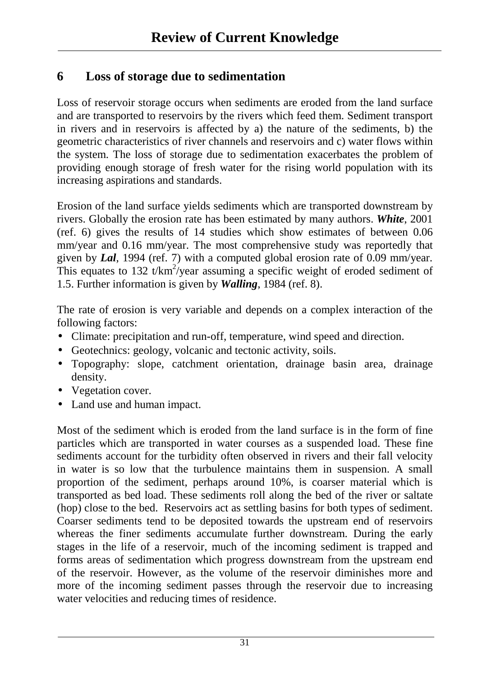### **6 Loss of storage due to sedimentation**

Loss of reservoir storage occurs when sediments are eroded from the land surface and are transported to reservoirs by the rivers which feed them. Sediment transport in rivers and in reservoirs is affected by a) the nature of the sediments, b) the geometric characteristics of river channels and reservoirs and c) water flows within the system. The loss of storage due to sedimentation exacerbates the problem of providing enough storage of fresh water for the rising world population with its increasing aspirations and standards.

Erosion of the land surface yields sediments which are transported downstream by rivers. Globally the erosion rate has been estimated by many authors. *White*, 2001 (ref. 6) gives the results of 14 studies which show estimates of between 0.06 mm/year and 0.16 mm/year. The most comprehensive study was reportedly that given by *Lal*, 1994 (ref. 7) with a computed global erosion rate of 0.09 mm/year. This equates to 132 t/ $km^2$ /year assuming a specific weight of eroded sediment of 1.5. Further information is given by *Walling*, 1984 (ref. 8).

The rate of erosion is very variable and depends on a complex interaction of the following factors:

- Climate: precipitation and run-off, temperature, wind speed and direction.
- Geotechnics: geology, volcanic and tectonic activity, soils.
- Topography: slope, catchment orientation, drainage basin area, drainage density.
- Vegetation cover.
- Land use and human impact.

Most of the sediment which is eroded from the land surface is in the form of fine particles which are transported in water courses as a suspended load. These fine sediments account for the turbidity often observed in rivers and their fall velocity in water is so low that the turbulence maintains them in suspension. A small proportion of the sediment, perhaps around 10%, is coarser material which is transported as bed load. These sediments roll along the bed of the river or saltate (hop) close to the bed. Reservoirs act as settling basins for both types of sediment. Coarser sediments tend to be deposited towards the upstream end of reservoirs whereas the finer sediments accumulate further downstream. During the early stages in the life of a reservoir, much of the incoming sediment is trapped and forms areas of sedimentation which progress downstream from the upstream end of the reservoir. However, as the volume of the reservoir diminishes more and more of the incoming sediment passes through the reservoir due to increasing water velocities and reducing times of residence.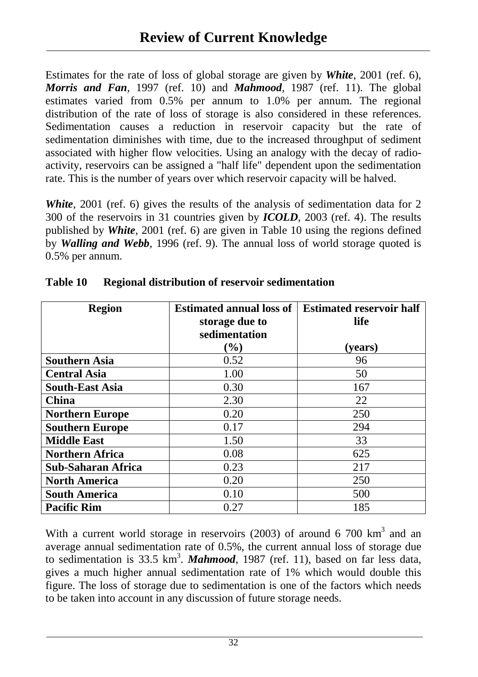Estimates for the rate of loss of global storage are given by *White*, 2001 (ref. 6), *Morris and Fan*, 1997 (ref. 10) and *Mahmood*, 1987 (ref. 11). The global estimates varied from 0.5% per annum to 1.0% per annum. The regional distribution of the rate of loss of storage is also considered in these references. Sedimentation causes a reduction in reservoir capacity but the rate of sedimentation diminishes with time, due to the increased throughput of sediment associated with higher flow velocities. Using an analogy with the decay of radioactivity, reservoirs can be assigned a "half life" dependent upon the sedimentation rate. This is the number of years over which reservoir capacity will be halved.

*White*, 2001 (ref. 6) gives the results of the analysis of sedimentation data for 2 300 of the reservoirs in 31 countries given by *ICOLD*, 2003 (ref. 4). The results published by *White*, 2001 (ref. 6) are given in Table 10 using the regions defined by *Walling and Webb*, 1996 (ref. 9). The annual loss of world storage quoted is 0.5% per annum.

| <b>Region</b>             | <b>Estimated annual loss of</b> | <b>Estimated reservoir half</b> |
|---------------------------|---------------------------------|---------------------------------|
|                           | storage due to                  | life                            |
|                           | sedimentation                   |                                 |
|                           | $(\%)$                          | (years)                         |
| <b>Southern Asia</b>      | 0.52                            | 96                              |
| <b>Central Asia</b>       | 1.00                            | 50                              |
| <b>South-East Asia</b>    | 0.30                            | 167                             |
| <b>China</b>              | 2.30                            | 22                              |
| <b>Northern Europe</b>    | 0.20                            | 250                             |
| <b>Southern Europe</b>    | 0.17                            | 294                             |
| <b>Middle East</b>        | 1.50                            | 33                              |
| <b>Northern Africa</b>    | 0.08                            | 625                             |
| <b>Sub-Saharan Africa</b> | 0.23                            | 217                             |
| <b>North America</b>      | 0.20                            | 250                             |
| <b>South America</b>      | 0.10                            | 500                             |
| <b>Pacific Rim</b>        | 0.27                            | 185                             |

| Table 10 |  | <b>Regional distribution of reservoir sedimentation</b> |
|----------|--|---------------------------------------------------------|
|          |  |                                                         |

With a current world storage in reservoirs  $(2003)$  of around 6 700 km<sup>3</sup> and an average annual sedimentation rate of 0.5%, the current annual loss of storage due to sedimentation is 33.5 km<sup>3</sup>. **Mahmood**, 1987 (ref. 11), based on far less data, gives a much higher annual sedimentation rate of 1% which would double this figure. The loss of storage due to sedimentation is one of the factors which needs to be taken into account in any discussion of future storage needs.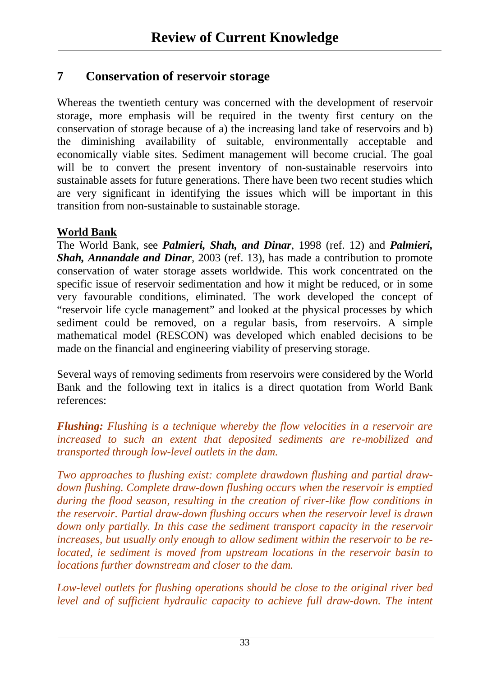### **7 Conservation of reservoir storage**

Whereas the twentieth century was concerned with the development of reservoir storage, more emphasis will be required in the twenty first century on the conservation of storage because of a) the increasing land take of reservoirs and b) the diminishing availability of suitable, environmentally acceptable and economically viable sites. Sediment management will become crucial. The goal will be to convert the present inventory of non-sustainable reservoirs into sustainable assets for future generations. There have been two recent studies which are very significant in identifying the issues which will be important in this transition from non-sustainable to sustainable storage.

### **World Bank**

The World Bank, see *Palmieri, Shah, and Dinar*, 1998 (ref. 12) and *Palmieri, Shah, Annandale and Dinar*, 2003 (ref. 13), has made a contribution to promote conservation of water storage assets worldwide. This work concentrated on the specific issue of reservoir sedimentation and how it might be reduced, or in some very favourable conditions, eliminated. The work developed the concept of "reservoir life cycle management" and looked at the physical processes by which sediment could be removed, on a regular basis, from reservoirs. A simple mathematical model (RESCON) was developed which enabled decisions to be made on the financial and engineering viability of preserving storage.

Several ways of removing sediments from reservoirs were considered by the World Bank and the following text in italics is a direct quotation from World Bank references:

*Flushing: Flushing is a technique whereby the flow velocities in a reservoir are increased to such an extent that deposited sediments are re-mobilized and transported through low-level outlets in the dam.* 

*Two approaches to flushing exist: complete drawdown flushing and partial drawdown flushing. Complete draw-down flushing occurs when the reservoir is emptied during the flood season, resulting in the creation of river-like flow conditions in the reservoir. Partial draw-down flushing occurs when the reservoir level is drawn down only partially. In this case the sediment transport capacity in the reservoir increases, but usually only enough to allow sediment within the reservoir to be relocated, ie sediment is moved from upstream locations in the reservoir basin to locations further downstream and closer to the dam.* 

*Low-level outlets for flushing operations should be close to the original river bed*  level and of sufficient hydraulic capacity to achieve full draw-down. The intent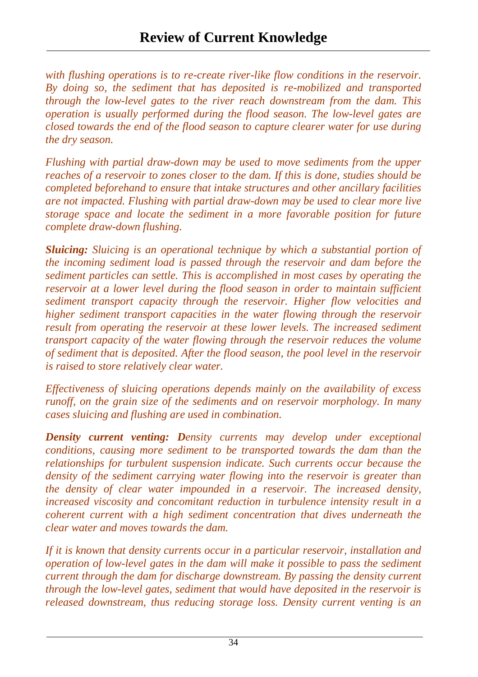*with flushing operations is to re-create river-like flow conditions in the reservoir. By doing so, the sediment that has deposited is re-mobilized and transported through the low-level gates to the river reach downstream from the dam. This operation is usually performed during the flood season. The low-level gates are closed towards the end of the flood season to capture clearer water for use during the dry season.* 

*Flushing with partial draw-down may be used to move sediments from the upper reaches of a reservoir to zones closer to the dam. If this is done, studies should be completed beforehand to ensure that intake structures and other ancillary facilities are not impacted. Flushing with partial draw-down may be used to clear more live storage space and locate the sediment in a more favorable position for future complete draw-down flushing.* 

*Sluicing: Sluicing is an operational technique by which a substantial portion of the incoming sediment load is passed through the reservoir and dam before the sediment particles can settle. This is accomplished in most cases by operating the reservoir at a lower level during the flood season in order to maintain sufficient sediment transport capacity through the reservoir. Higher flow velocities and higher sediment transport capacities in the water flowing through the reservoir result from operating the reservoir at these lower levels. The increased sediment transport capacity of the water flowing through the reservoir reduces the volume of sediment that is deposited. After the flood season, the pool level in the reservoir is raised to store relatively clear water.* 

*Effectiveness of sluicing operations depends mainly on the availability of excess runoff, on the grain size of the sediments and on reservoir morphology. In many cases sluicing and flushing are used in combination.* 

*Density current venting: Density currents may develop under exceptional conditions, causing more sediment to be transported towards the dam than the relationships for turbulent suspension indicate. Such currents occur because the density of the sediment carrying water flowing into the reservoir is greater than the density of clear water impounded in a reservoir. The increased density, increased viscosity and concomitant reduction in turbulence intensity result in a coherent current with a high sediment concentration that dives underneath the clear water and moves towards the dam.* 

*If it is known that density currents occur in a particular reservoir, installation and operation of low-level gates in the dam will make it possible to pass the sediment current through the dam for discharge downstream. By passing the density current through the low-level gates, sediment that would have deposited in the reservoir is released downstream, thus reducing storage loss. Density current venting is an*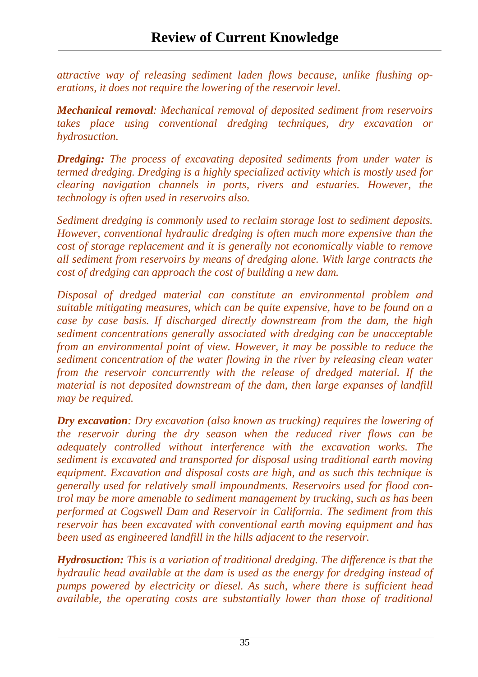*attractive way of releasing sediment laden flows because, unlike flushing operations, it does not require the lowering of the reservoir level.* 

*Mechanical removal: Mechanical removal of deposited sediment from reservoirs takes place using conventional dredging techniques, dry excavation or hydrosuction.* 

*Dredging: The process of excavating deposited sediments from under water is termed dredging. Dredging is a highly specialized activity which is mostly used for clearing navigation channels in ports, rivers and estuaries. However, the technology is often used in reservoirs also.* 

*Sediment dredging is commonly used to reclaim storage lost to sediment deposits. However, conventional hydraulic dredging is often much more expensive than the cost of storage replacement and it is generally not economically viable to remove all sediment from reservoirs by means of dredging alone. With large contracts the cost of dredging can approach the cost of building a new dam.* 

*Disposal of dredged material can constitute an environmental problem and suitable mitigating measures, which can be quite expensive, have to be found on a case by case basis. If discharged directly downstream from the dam, the high sediment concentrations generally associated with dredging can be unacceptable from an environmental point of view. However, it may be possible to reduce the sediment concentration of the water flowing in the river by releasing clean water from the reservoir concurrently with the release of dredged material. If the material is not deposited downstream of the dam, then large expanses of landfill may be required.* 

*Dry excavation: Dry excavation (also known as trucking) requires the lowering of the reservoir during the dry season when the reduced river flows can be adequately controlled without interference with the excavation works. The sediment is excavated and transported for disposal using traditional earth moving equipment. Excavation and disposal costs are high, and as such this technique is generally used for relatively small impoundments. Reservoirs used for flood control may be more amenable to sediment management by trucking, such as has been performed at Cogswell Dam and Reservoir in California. The sediment from this reservoir has been excavated with conventional earth moving equipment and has been used as engineered landfill in the hills adjacent to the reservoir.*

*Hydrosuction: This is a variation of traditional dredging. The difference is that the hydraulic head available at the dam is used as the energy for dredging instead of pumps powered by electricity or diesel. As such, where there is sufficient head available, the operating costs are substantially lower than those of traditional*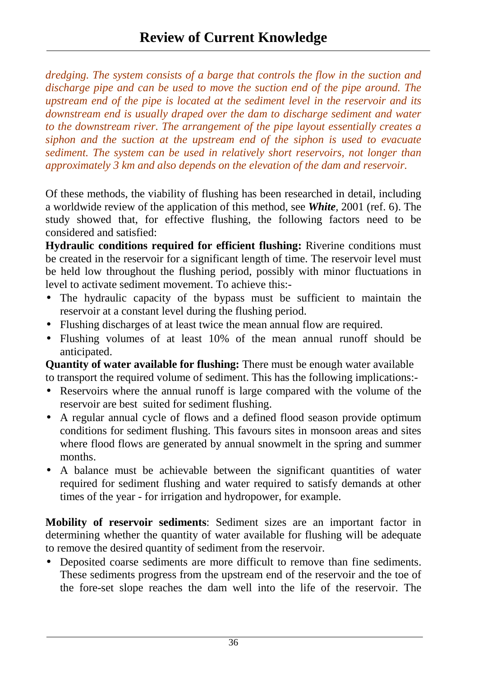*dredging. The system consists of a barge that controls the flow in the suction and discharge pipe and can be used to move the suction end of the pipe around. The upstream end of the pipe is located at the sediment level in the reservoir and its downstream end is usually draped over the dam to discharge sediment and water to the downstream river. The arrangement of the pipe layout essentially creates a siphon and the suction at the upstream end of the siphon is used to evacuate sediment. The system can be used in relatively short reservoirs, not longer than approximately 3 km and also depends on the elevation of the dam and reservoir.* 

Of these methods, the viability of flushing has been researched in detail, including a worldwide review of the application of this method, see *White,* 2001 (ref. 6). The study showed that, for effective flushing, the following factors need to be considered and satisfied:

**Hydraulic conditions required for efficient flushing:** Riverine conditions must be created in the reservoir for a significant length of time. The reservoir level must be held low throughout the flushing period, possibly with minor fluctuations in level to activate sediment movement. To achieve this:-

- The hydraulic capacity of the bypass must be sufficient to maintain the reservoir at a constant level during the flushing period.
- Flushing discharges of at least twice the mean annual flow are required.
- Flushing volumes of at least 10% of the mean annual runoff should be anticipated.

**Quantity of water available for flushing:** There must be enough water available to transport the required volume of sediment. This has the following implications:-

- Reservoirs where the annual runoff is large compared with the volume of the reservoir are best suited for sediment flushing.
- A regular annual cycle of flows and a defined flood season provide optimum conditions for sediment flushing. This favours sites in monsoon areas and sites where flood flows are generated by annual snowmelt in the spring and summer months.
- A balance must be achievable between the significant quantities of water required for sediment flushing and water required to satisfy demands at other times of the year - for irrigation and hydropower, for example.

**Mobility of reservoir sediments**: Sediment sizes are an important factor in determining whether the quantity of water available for flushing will be adequate to remove the desired quantity of sediment from the reservoir.

• Deposited coarse sediments are more difficult to remove than fine sediments. These sediments progress from the upstream end of the reservoir and the toe of the fore-set slope reaches the dam well into the life of the reservoir. The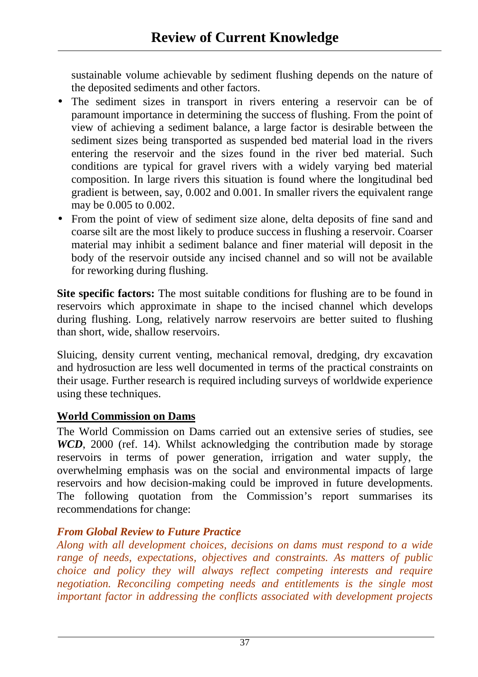sustainable volume achievable by sediment flushing depends on the nature of the deposited sediments and other factors.

- The sediment sizes in transport in rivers entering a reservoir can be of paramount importance in determining the success of flushing. From the point of view of achieving a sediment balance, a large factor is desirable between the sediment sizes being transported as suspended bed material load in the rivers entering the reservoir and the sizes found in the river bed material. Such conditions are typical for gravel rivers with a widely varying bed material composition. In large rivers this situation is found where the longitudinal bed gradient is between, say, 0.002 and 0.001. In smaller rivers the equivalent range may be 0.005 to 0.002.
- From the point of view of sediment size alone, delta deposits of fine sand and coarse silt are the most likely to produce success in flushing a reservoir. Coarser material may inhibit a sediment balance and finer material will deposit in the body of the reservoir outside any incised channel and so will not be available for reworking during flushing.

**Site specific factors:** The most suitable conditions for flushing are to be found in reservoirs which approximate in shape to the incised channel which develops during flushing. Long, relatively narrow reservoirs are better suited to flushing than short, wide, shallow reservoirs.

Sluicing, density current venting, mechanical removal, dredging, dry excavation and hydrosuction are less well documented in terms of the practical constraints on their usage. Further research is required including surveys of worldwide experience using these techniques.

### **World Commission on Dams**

The World Commission on Dams carried out an extensive series of studies, see *WCD*, 2000 (ref. 14). Whilst acknowledging the contribution made by storage reservoirs in terms of power generation, irrigation and water supply, the overwhelming emphasis was on the social and environmental impacts of large reservoirs and how decision-making could be improved in future developments. The following quotation from the Commission's report summarises its recommendations for change:

### *From Global Review to Future Practice*

*Along with all development choices, decisions on dams must respond to a wide range of needs, expectations, objectives and constraints. As matters of public choice and policy they will always reflect competing interests and require negotiation. Reconciling competing needs and entitlements is the single most important factor in addressing the conflicts associated with development projects*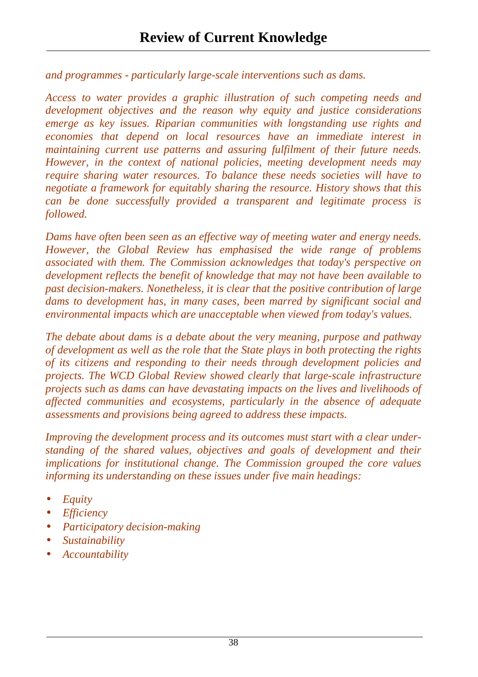*and programmes - particularly large-scale interventions such as dams.* 

*Access to water provides a graphic illustration of such competing needs and development objectives and the reason why equity and justice considerations emerge as key issues. Riparian communities with longstanding use rights and economies that depend on local resources have an immediate interest in maintaining current use patterns and assuring fulfilment of their future needs. However, in the context of national policies, meeting development needs may require sharing water resources. To balance these needs societies will have to negotiate a framework for equitably sharing the resource. History shows that this can be done successfully provided a transparent and legitimate process is followed.* 

*Dams have often been seen as an effective way of meeting water and energy needs. However, the Global Review has emphasised the wide range of problems associated with them. The Commission acknowledges that today's perspective on development reflects the benefit of knowledge that may not have been available to past decision-makers. Nonetheless, it is clear that the positive contribution of large dams to development has, in many cases, been marred by significant social and environmental impacts which are unacceptable when viewed from today's values.* 

*The debate about dams is a debate about the very meaning, purpose and pathway of development as well as the role that the State plays in both protecting the rights of its citizens and responding to their needs through development policies and projects. The WCD Global Review showed clearly that large-scale infrastructure projects such as dams can have devastating impacts on the lives and livelihoods of affected communities and ecosystems, particularly in the absence of adequate assessments and provisions being agreed to address these impacts.* 

*Improving the development process and its outcomes must start with a clear understanding of the shared values, objectives and goals of development and their implications for institutional change. The Commission grouped the core values informing its understanding on these issues under five main headings:* 

- *Equity*
- *Efficiency*
- *Participatory decision-making*
- *Sustainability*
- *Accountability*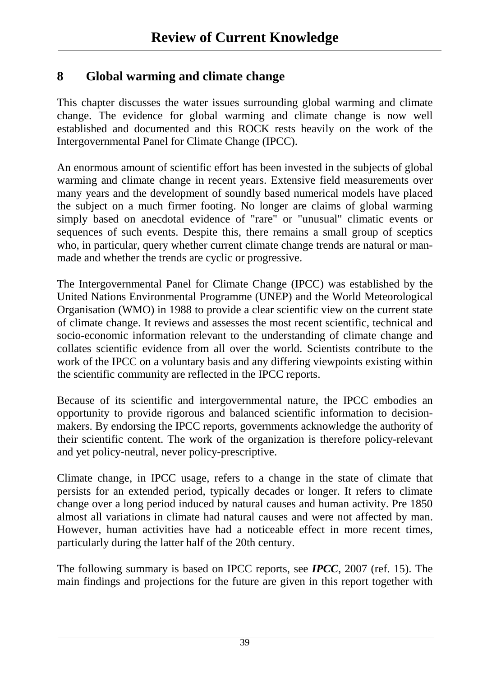### **8 Global warming and climate change**

This chapter discusses the water issues surrounding global warming and climate change. The evidence for global warming and climate change is now well established and documented and this ROCK rests heavily on the work of the Intergovernmental Panel for Climate Change (IPCC).

An enormous amount of scientific effort has been invested in the subjects of global warming and climate change in recent years. Extensive field measurements over many years and the development of soundly based numerical models have placed the subject on a much firmer footing. No longer are claims of global warming simply based on anecdotal evidence of "rare" or "unusual" climatic events or sequences of such events. Despite this, there remains a small group of sceptics who, in particular, query whether current climate change trends are natural or manmade and whether the trends are cyclic or progressive.

The Intergovernmental Panel for Climate Change (IPCC) was established by the United Nations Environmental Programme (UNEP) and the World Meteorological Organisation (WMO) in 1988 to provide a clear scientific view on the current state of climate change. It reviews and assesses the most recent scientific, technical and socio-economic information relevant to the understanding of climate change and collates scientific evidence from all over the world. Scientists contribute to the work of the IPCC on a voluntary basis and any differing viewpoints existing within the scientific community are reflected in the IPCC reports.

Because of its scientific and intergovernmental nature, the IPCC embodies an opportunity to provide rigorous and balanced scientific information to decisionmakers. By endorsing the IPCC reports, governments acknowledge the authority of their scientific content. The work of the organization is therefore policy-relevant and yet policy-neutral, never policy-prescriptive.

Climate change, in IPCC usage, refers to a change in the state of climate that persists for an extended period, typically decades or longer. It refers to climate change over a long period induced by natural causes and human activity. Pre 1850 almost all variations in climate had natural causes and were not affected by man. However, human activities have had a noticeable effect in more recent times, particularly during the latter half of the 20th century.

The following summary is based on IPCC reports, see *IPCC*, 2007 (ref. 15). The main findings and projections for the future are given in this report together with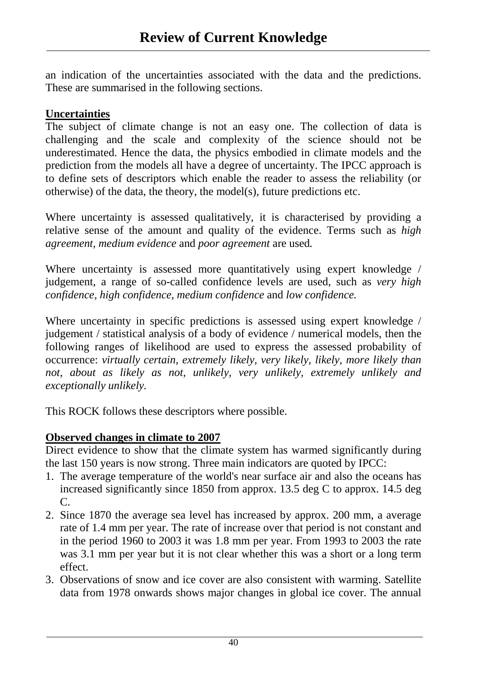an indication of the uncertainties associated with the data and the predictions. These are summarised in the following sections.

#### **Uncertainties**

The subject of climate change is not an easy one. The collection of data is challenging and the scale and complexity of the science should not be underestimated. Hence the data, the physics embodied in climate models and the prediction from the models all have a degree of uncertainty. The IPCC approach is to define sets of descriptors which enable the reader to assess the reliability (or otherwise) of the data, the theory, the model(s), future predictions etc.

Where uncertainty is assessed qualitatively, it is characterised by providing a relative sense of the amount and quality of the evidence. Terms such as *high agreement, medium evidence* and *poor agreement* are used*.* 

Where uncertainty is assessed more quantitatively using expert knowledge / judgement, a range of so-called confidence levels are used, such as *very high confidence, high confidence, medium confidence* and *low confidence.* 

Where uncertainty in specific predictions is assessed using expert knowledge / judgement / statistical analysis of a body of evidence / numerical models, then the following ranges of likelihood are used to express the assessed probability of occurrence: *virtually certain, extremely likely, very likely, likely, more likely than not, about as likely as not, unlikely, very unlikely, extremely unlikely and exceptionally unlikely.* 

This ROCK follows these descriptors where possible.

### **Observed changes in climate to 2007**

Direct evidence to show that the climate system has warmed significantly during the last 150 years is now strong. Three main indicators are quoted by IPCC:

- 1. The average temperature of the world's near surface air and also the oceans has increased significantly since 1850 from approx. 13.5 deg C to approx. 14.5 deg C.
- 2. Since 1870 the average sea level has increased by approx. 200 mm, a average rate of 1.4 mm per year. The rate of increase over that period is not constant and in the period 1960 to 2003 it was 1.8 mm per year. From 1993 to 2003 the rate was 3.1 mm per year but it is not clear whether this was a short or a long term effect.
- 3. Observations of snow and ice cover are also consistent with warming. Satellite data from 1978 onwards shows major changes in global ice cover. The annual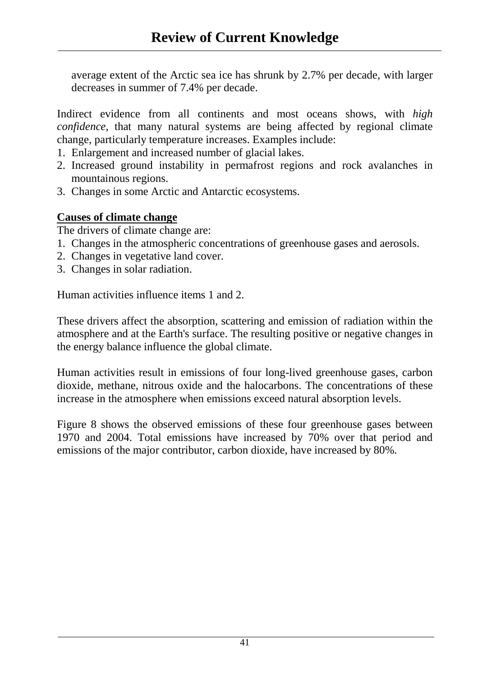average extent of the Arctic sea ice has shrunk by 2.7% per decade, with larger decreases in summer of 7.4% per decade.

Indirect evidence from all continents and most oceans shows, with *high confidence,* that many natural systems are being affected by regional climate change, particularly temperature increases. Examples include:

- 1. Enlargement and increased number of glacial lakes.
- 2. Increased ground instability in permafrost regions and rock avalanches in mountainous regions.
- 3. Changes in some Arctic and Antarctic ecosystems.

### **Causes of climate change**

The drivers of climate change are:

- 1. Changes in the atmospheric concentrations of greenhouse gases and aerosols.
- 2. Changes in vegetative land cover.
- 3. Changes in solar radiation.

Human activities influence items 1 and 2.

These drivers affect the absorption, scattering and emission of radiation within the atmosphere and at the Earth's surface. The resulting positive or negative changes in the energy balance influence the global climate.

Human activities result in emissions of four long-lived greenhouse gases, carbon dioxide, methane, nitrous oxide and the halocarbons. The concentrations of these increase in the atmosphere when emissions exceed natural absorption levels.

Figure 8 shows the observed emissions of these four greenhouse gases between 1970 and 2004. Total emissions have increased by 70% over that period and emissions of the major contributor, carbon dioxide, have increased by 80%.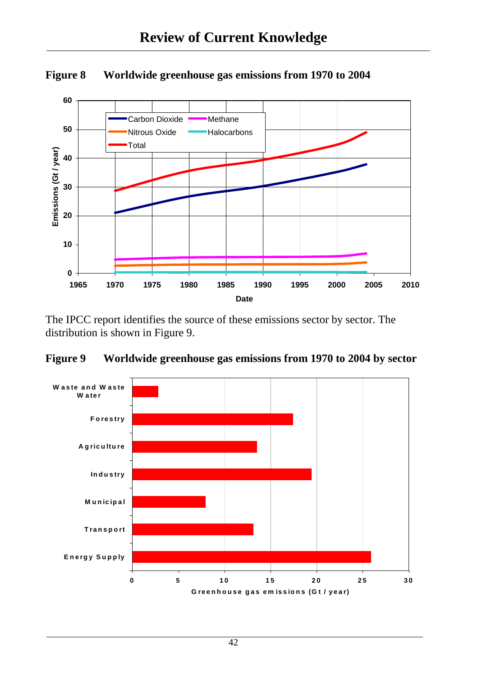

**Figure 8 Worldwide greenhouse gas emissions from 1970 to 2004** 

The IPCC report identifies the source of these emissions sector by sector. The distribution is shown in Figure 9.



**Figure 9 Worldwide greenhouse gas emissions from 1970 to 2004 by sector**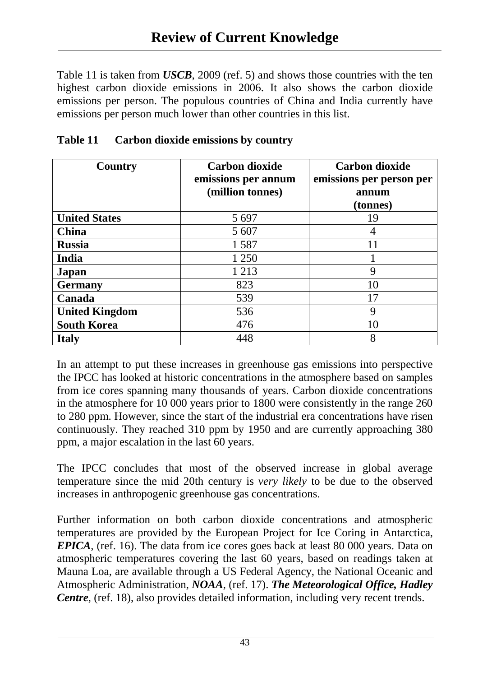Table 11 is taken from *USCB*, 2009 (ref. 5) and shows those countries with the ten highest carbon dioxide emissions in 2006. It also shows the carbon dioxide emissions per person. The populous countries of China and India currently have emissions per person much lower than other countries in this list.

| Country               | <b>Carbon dioxide</b><br>emissions per annum<br>(million tonnes) | <b>Carbon dioxide</b><br>emissions per person per<br>annum<br>(tonnes) |
|-----------------------|------------------------------------------------------------------|------------------------------------------------------------------------|
| <b>United States</b>  | 5 6 9 7                                                          | 19                                                                     |
| <b>China</b>          | 5 607                                                            | 4                                                                      |
| <b>Russia</b>         | 1587                                                             | 11                                                                     |
| India                 | 1 250                                                            |                                                                        |
| Japan                 | 1 2 1 3                                                          | 9                                                                      |
| <b>Germany</b>        | 823                                                              | 10                                                                     |
| Canada                | 539                                                              | 17                                                                     |
| <b>United Kingdom</b> | 536                                                              | 9                                                                      |
| <b>South Korea</b>    | 476                                                              | 10                                                                     |
| <b>Italy</b>          | 448                                                              | 8                                                                      |

### **Table 11 Carbon dioxide emissions by country**

In an attempt to put these increases in greenhouse gas emissions into perspective the IPCC has looked at historic concentrations in the atmosphere based on samples from ice cores spanning many thousands of years. Carbon dioxide concentrations in the atmosphere for 10 000 years prior to 1800 were consistently in the range 260 to 280 ppm. However, since the start of the industrial era concentrations have risen continuously. They reached 310 ppm by 1950 and are currently approaching 380 ppm, a major escalation in the last 60 years.

The IPCC concludes that most of the observed increase in global average temperature since the mid 20th century is *very likely* to be due to the observed increases in anthropogenic greenhouse gas concentrations.

Further information on both carbon dioxide concentrations and atmospheric temperatures are provided by the European Project for Ice Coring in Antarctica, *EPICA*, (ref. 16). The data from ice cores goes back at least 80 000 years. Data on atmospheric temperatures covering the last 60 years, based on readings taken at Mauna Loa, are available through a US Federal Agency, the National Oceanic and Atmospheric Administration, *NOAA*, (ref. 17). *The Meteorological Office, Hadley Centre*, (ref. 18), also provides detailed information, including very recent trends.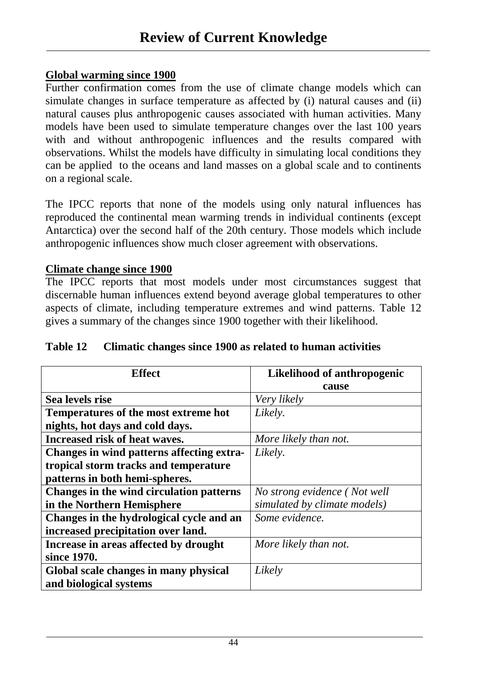#### **Global warming since 1900**

Further confirmation comes from the use of climate change models which can simulate changes in surface temperature as affected by (i) natural causes and (ii) natural causes plus anthropogenic causes associated with human activities. Many models have been used to simulate temperature changes over the last 100 years with and without anthropogenic influences and the results compared with observations. Whilst the models have difficulty in simulating local conditions they can be applied to the oceans and land masses on a global scale and to continents on a regional scale.

The IPCC reports that none of the models using only natural influences has reproduced the continental mean warming trends in individual continents (except Antarctica) over the second half of the 20th century. Those models which include anthropogenic influences show much closer agreement with observations.

#### **Climate change since 1900**

The IPCC reports that most models under most circumstances suggest that discernable human influences extend beyond average global temperatures to other aspects of climate, including temperature extremes and wind patterns. Table 12 gives a summary of the changes since 1900 together with their likelihood.

| Table 12 | Climatic changes since 1900 as related to human activities |
|----------|------------------------------------------------------------|
|----------|------------------------------------------------------------|

| <b>Effect</b>                             | Likelihood of anthropogenic  |
|-------------------------------------------|------------------------------|
|                                           | cause                        |
| Sea levels rise                           | Very likely                  |
| Temperatures of the most extreme hot      | Likely.                      |
| nights, hot days and cold days.           |                              |
| <b>Increased risk of heat waves.</b>      | More likely than not.        |
| Changes in wind patterns affecting extra- | Likely.                      |
| tropical storm tracks and temperature     |                              |
| patterns in both hemi-spheres.            |                              |
| Changes in the wind circulation patterns  | No strong evidence (Not well |
| in the Northern Hemisphere                | simulated by climate models) |
| Changes in the hydrological cycle and an  | Some evidence.               |
| increased precipitation over land.        |                              |
| Increase in areas affected by drought     | More likely than not.        |
| since 1970.                               |                              |
| Global scale changes in many physical     | Likely                       |
| and biological systems                    |                              |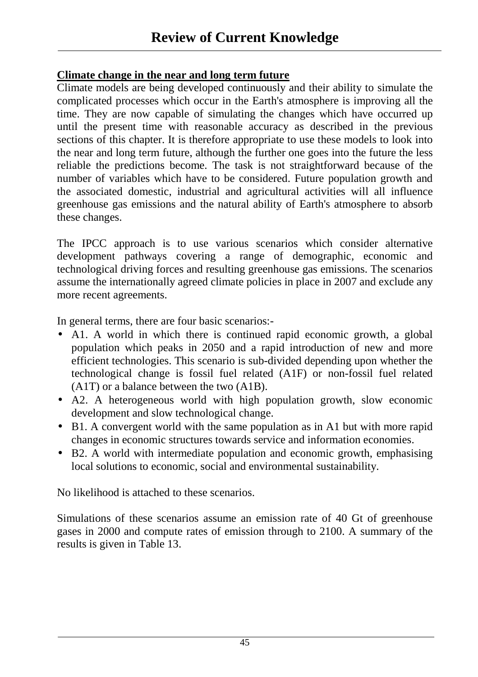#### **Climate change in the near and long term future**

Climate models are being developed continuously and their ability to simulate the complicated processes which occur in the Earth's atmosphere is improving all the time. They are now capable of simulating the changes which have occurred up until the present time with reasonable accuracy as described in the previous sections of this chapter. It is therefore appropriate to use these models to look into the near and long term future, although the further one goes into the future the less reliable the predictions become. The task is not straightforward because of the number of variables which have to be considered. Future population growth and the associated domestic, industrial and agricultural activities will all influence greenhouse gas emissions and the natural ability of Earth's atmosphere to absorb these changes.

The IPCC approach is to use various scenarios which consider alternative development pathways covering a range of demographic, economic and technological driving forces and resulting greenhouse gas emissions. The scenarios assume the internationally agreed climate policies in place in 2007 and exclude any more recent agreements.

In general terms, there are four basic scenarios:-

- A1. A world in which there is continued rapid economic growth, a global population which peaks in 2050 and a rapid introduction of new and more efficient technologies. This scenario is sub-divided depending upon whether the technological change is fossil fuel related (A1F) or non-fossil fuel related (A1T) or a balance between the two (A1B).
- A2. A heterogeneous world with high population growth, slow economic development and slow technological change.
- B1. A convergent world with the same population as in A1 but with more rapid changes in economic structures towards service and information economies.
- B2. A world with intermediate population and economic growth, emphasising local solutions to economic, social and environmental sustainability.

No likelihood is attached to these scenarios.

Simulations of these scenarios assume an emission rate of 40 Gt of greenhouse gases in 2000 and compute rates of emission through to 2100. A summary of the results is given in Table 13.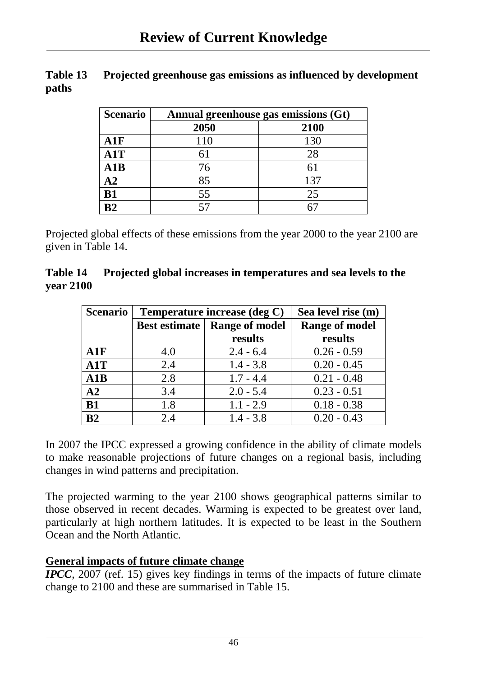| Table 13 | Projected greenhouse gas emissions as influenced by development |
|----------|-----------------------------------------------------------------|
| paths    |                                                                 |

| <b>Scenario</b> | Annual greenhouse gas emissions (Gt) |      |
|-----------------|--------------------------------------|------|
|                 | 2050                                 | 2100 |
| A1F             | 110                                  | 130  |
| A1T             | 61                                   | 28   |
| A1B             | 76                                   | 61   |
| $\bf{A2}$       | 85                                   | 137  |
| <b>B1</b>       | 55                                   | 25   |
| R2              |                                      |      |

Projected global effects of these emissions from the year 2000 to the year 2100 are given in Table 14.

#### **Table 14 Projected global increases in temperatures and sea levels to the year 2100**

| <b>Scenario</b> | Temperature increase (deg C) |                       | Sea level rise (m)    |
|-----------------|------------------------------|-----------------------|-----------------------|
|                 | Best estimate                | <b>Range of model</b> | <b>Range of model</b> |
|                 |                              | results               | results               |
| A1F             | 4.0                          | $2.4 - 6.4$           | $0.26 - 0.59$         |
| A1T             | 2.4                          | $1.4 - 3.8$           | $0.20 - 0.45$         |
| A1B             | 2.8                          | $1.7 - 4.4$           | $0.21 - 0.48$         |
| A2              | 3.4                          | $2.0 - 5.4$           | $0.23 - 0.51$         |
| <b>B1</b>       | 1.8                          | $1.1 - 2.9$           | $0.18 - 0.38$         |
| B <sub>2</sub>  | 2.4                          | $1.4 - 3.8$           | $0.20 - 0.43$         |

In 2007 the IPCC expressed a growing confidence in the ability of climate models to make reasonable projections of future changes on a regional basis, including changes in wind patterns and precipitation.

The projected warming to the year 2100 shows geographical patterns similar to those observed in recent decades. Warming is expected to be greatest over land, particularly at high northern latitudes. It is expected to be least in the Southern Ocean and the North Atlantic.

### **General impacts of future climate change**

*IPCC*, 2007 (ref. 15) gives key findings in terms of the impacts of future climate change to 2100 and these are summarised in Table 15.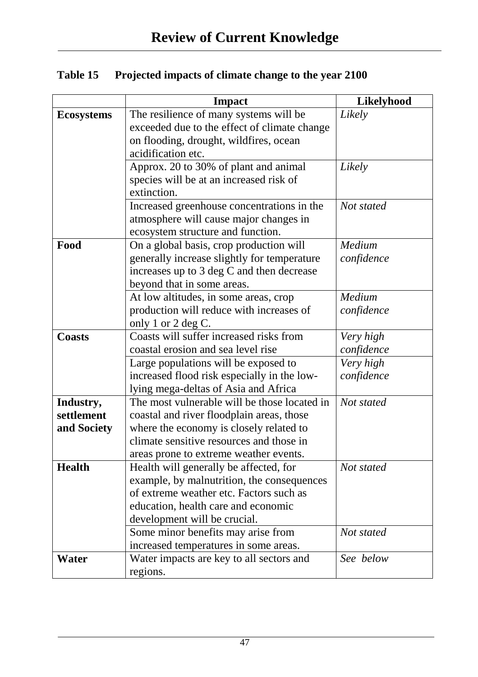| Table 15 | <b>Projected impacts of climate change to the year 2100</b> |  |
|----------|-------------------------------------------------------------|--|
|          |                                                             |  |

|                   | <b>Impact</b>                                                                         | <b>Likelyhood</b> |
|-------------------|---------------------------------------------------------------------------------------|-------------------|
| <b>Ecosystems</b> | The resilience of many systems will be                                                | Likely            |
|                   | exceeded due to the effect of climate change                                          |                   |
|                   | on flooding, drought, wildfires, ocean                                                |                   |
|                   | acidification etc.                                                                    |                   |
|                   | Approx. 20 to 30% of plant and animal                                                 | Likely            |
|                   | species will be at an increased risk of                                               |                   |
|                   | extinction.                                                                           |                   |
|                   | Increased greenhouse concentrations in the                                            | Not stated        |
|                   | atmosphere will cause major changes in                                                |                   |
|                   | ecosystem structure and function.                                                     |                   |
| Food              | On a global basis, crop production will                                               | Medium            |
|                   | generally increase slightly for temperature                                           | confidence        |
|                   | increases up to 3 deg C and then decrease                                             |                   |
|                   | beyond that in some areas.                                                            |                   |
|                   | At low altitudes, in some areas, crop                                                 | Medium            |
|                   | production will reduce with increases of                                              | confidence        |
|                   | only 1 or 2 deg C.                                                                    |                   |
| <b>Coasts</b>     | Coasts will suffer increased risks from                                               | Very high         |
|                   | coastal erosion and sea level rise                                                    | confidence        |
|                   | Large populations will be exposed to                                                  | Very high         |
|                   | increased flood risk especially in the low-                                           | confidence        |
|                   | lying mega-deltas of Asia and Africa                                                  |                   |
| Industry,         | The most vulnerable will be those located in                                          | Not stated        |
| settlement        | coastal and river floodplain areas, those                                             |                   |
| and Society       | where the economy is closely related to                                               |                   |
|                   | climate sensitive resources and those in                                              |                   |
|                   | areas prone to extreme weather events.                                                |                   |
| <b>Health</b>     | Health will generally be affected, for                                                | Not stated        |
|                   | example, by malnutrition, the consequences<br>of extreme weather etc. Factors such as |                   |
|                   |                                                                                       |                   |
|                   | education, health care and economic                                                   |                   |
|                   | development will be crucial.<br>Some minor benefits may arise from                    | Not stated        |
|                   | increased temperatures in some areas.                                                 |                   |
| Water             | Water impacts are key to all sectors and                                              | See below         |
|                   | regions.                                                                              |                   |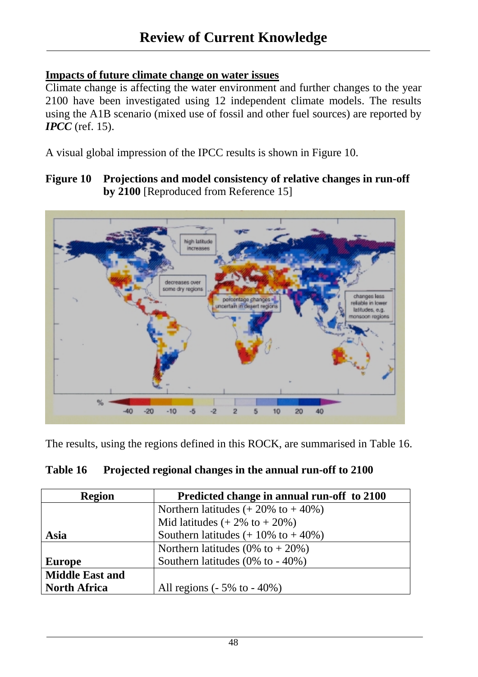#### **Impacts of future climate change on water issues**

Climate change is affecting the water environment and further changes to the year 2100 have been investigated using 12 independent climate models. The results using the A1B scenario (mixed use of fossil and other fuel sources) are reported by *<i>IPCC* (ref. 15).

A visual global impression of the IPCC results is shown in Figure 10.

**Figure 10 Projections and model consistency of relative changes in run-off by 2100** [Reproduced from Reference 15]



The results, using the regions defined in this ROCK, are summarised in Table 16.

| Table 16 | <b>Projected regional changes in the annual run-off to 2100</b> |
|----------|-----------------------------------------------------------------|
|----------|-----------------------------------------------------------------|

| <b>Region</b>          | Predicted change in annual run-off to 2100     |
|------------------------|------------------------------------------------|
|                        | Northern latitudes $(+20\% \text{ to } +40\%)$ |
|                        | Mid latitudes $(+2\% \text{ to } +20\%)$       |
| Asia                   | Southern latitudes $(+10\% \text{ to } +40\%)$ |
|                        | Northern latitudes (0% to $+20\%$ )            |
| <b>Europe</b>          | Southern latitudes $(0\%$ to - 40%)            |
| <b>Middle East and</b> |                                                |
| <b>North Africa</b>    | All regions $(-5\% \text{ to } -40\%)$         |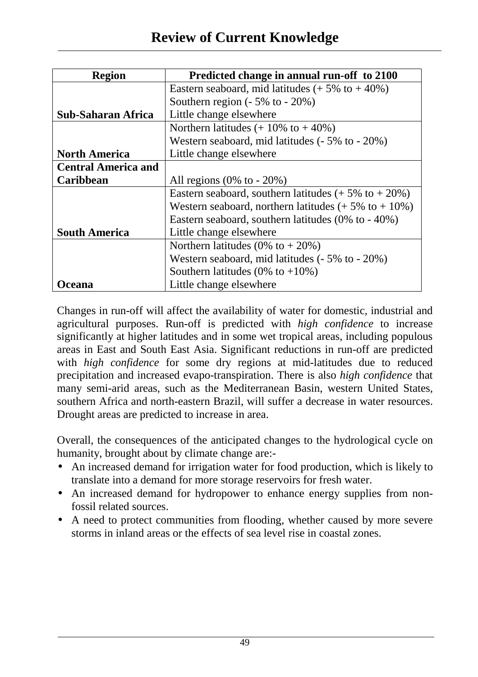| <b>Region</b>              | Predicted change in annual run-off to 2100                      |  |  |  |  |
|----------------------------|-----------------------------------------------------------------|--|--|--|--|
|                            | Eastern seaboard, mid latitudes $(+5\% \text{ to } +40\%)$      |  |  |  |  |
|                            | Southern region $(-5\% \text{ to } -20\%)$                      |  |  |  |  |
| <b>Sub-Saharan Africa</b>  | Little change elsewhere                                         |  |  |  |  |
|                            | Northern latitudes $(+10\% \text{ to } +40\%)$                  |  |  |  |  |
|                            | Western seaboard, mid latitudes (- 5% to - 20%)                 |  |  |  |  |
| <b>North America</b>       | Little change elsewhere                                         |  |  |  |  |
| <b>Central America and</b> |                                                                 |  |  |  |  |
| Caribbean                  | All regions $(0\% \text{ to } -20\%)$                           |  |  |  |  |
|                            | Eastern seaboard, southern latitudes $(+5\% \text{ to } +20\%)$ |  |  |  |  |
|                            | Western seaboard, northern latitudes $(+5\% \text{ to } +10\%)$ |  |  |  |  |
|                            | Eastern seaboard, southern latitudes $(0\%$ to $-40\%)$         |  |  |  |  |
| <b>South America</b>       | Little change elsewhere                                         |  |  |  |  |
|                            | Northern latitudes (0% to $+20\%$ )                             |  |  |  |  |
|                            | Western seaboard, mid latitudes (- 5% to - 20%)                 |  |  |  |  |
|                            | Southern latitudes (0% to $+10\%$ )                             |  |  |  |  |
| ceana                      | Little change elsewhere                                         |  |  |  |  |

Changes in run-off will affect the availability of water for domestic, industrial and agricultural purposes. Run-off is predicted with *high confidence* to increase significantly at higher latitudes and in some wet tropical areas, including populous areas in East and South East Asia. Significant reductions in run-off are predicted with *high confidence* for some dry regions at mid-latitudes due to reduced precipitation and increased evapo-transpiration. There is also *high confidence* that many semi-arid areas, such as the Mediterranean Basin, western United States, southern Africa and north-eastern Brazil, will suffer a decrease in water resources. Drought areas are predicted to increase in area.

Overall, the consequences of the anticipated changes to the hydrological cycle on humanity, brought about by climate change are:-

- An increased demand for irrigation water for food production, which is likely to translate into a demand for more storage reservoirs for fresh water.
- An increased demand for hydropower to enhance energy supplies from nonfossil related sources.
- A need to protect communities from flooding, whether caused by more severe storms in inland areas or the effects of sea level rise in coastal zones.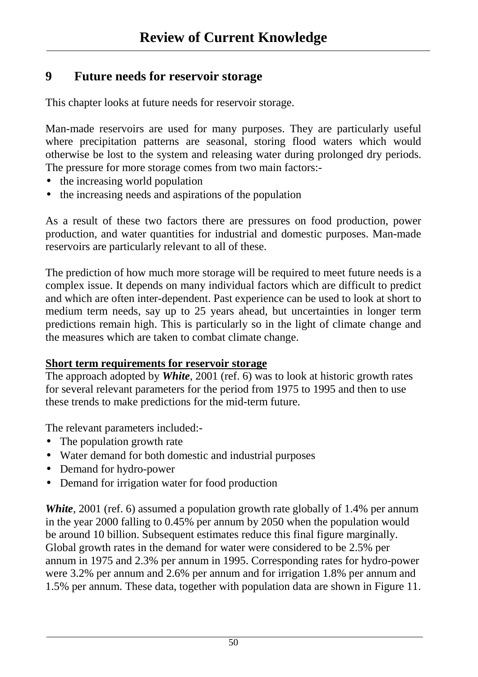### **9 Future needs for reservoir storage**

This chapter looks at future needs for reservoir storage.

Man-made reservoirs are used for many purposes. They are particularly useful where precipitation patterns are seasonal, storing flood waters which would otherwise be lost to the system and releasing water during prolonged dry periods. The pressure for more storage comes from two main factors:-

- the increasing world population
- the increasing needs and aspirations of the population

As a result of these two factors there are pressures on food production, power production, and water quantities for industrial and domestic purposes. Man-made reservoirs are particularly relevant to all of these.

The prediction of how much more storage will be required to meet future needs is a complex issue. It depends on many individual factors which are difficult to predict and which are often inter-dependent. Past experience can be used to look at short to medium term needs, say up to 25 years ahead, but uncertainties in longer term predictions remain high. This is particularly so in the light of climate change and the measures which are taken to combat climate change.

### **Short term requirements for reservoir storage**

The approach adopted by *White*, 2001 (ref. 6) was to look at historic growth rates for several relevant parameters for the period from 1975 to 1995 and then to use these trends to make predictions for the mid-term future.

The relevant parameters included:-

- The population growth rate
- Water demand for both domestic and industrial purposes
- Demand for hydro-power
- Demand for irrigation water for food production

*White*, 2001 (ref. 6) assumed a population growth rate globally of 1.4% per annum in the year 2000 falling to 0.45% per annum by 2050 when the population would be around 10 billion. Subsequent estimates reduce this final figure marginally. Global growth rates in the demand for water were considered to be 2.5% per annum in 1975 and 2.3% per annum in 1995. Corresponding rates for hydro-power were 3.2% per annum and 2.6% per annum and for irrigation 1.8% per annum and 1.5% per annum. These data, together with population data are shown in Figure 11.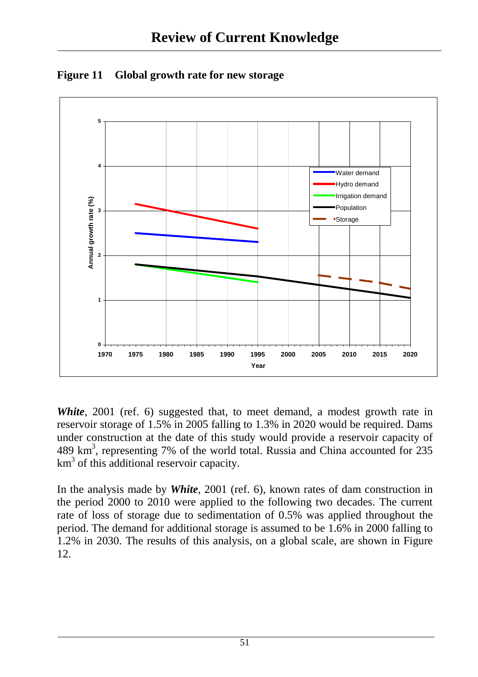

**Figure 11 Global growth rate for new storage** 

*White*, 2001 (ref. 6) suggested that, to meet demand, a modest growth rate in reservoir storage of 1.5% in 2005 falling to 1.3% in 2020 would be required. Dams under construction at the date of this study would provide a reservoir capacity of 489 km<sup>3</sup>, representing 7% of the world total. Russia and China accounted for 235 km<sup>3</sup> of this additional reservoir capacity.

In the analysis made by *White*, 2001 (ref. 6), known rates of dam construction in the period 2000 to 2010 were applied to the following two decades. The current rate of loss of storage due to sedimentation of 0.5% was applied throughout the period. The demand for additional storage is assumed to be 1.6% in 2000 falling to 1.2% in 2030. The results of this analysis, on a global scale, are shown in Figure 12.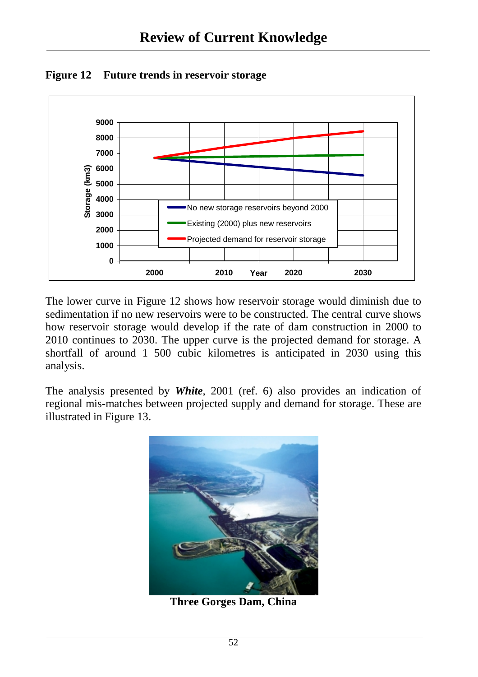

**Figure 12 Future trends in reservoir storage** 

The lower curve in Figure 12 shows how reservoir storage would diminish due to sedimentation if no new reservoirs were to be constructed. The central curve shows how reservoir storage would develop if the rate of dam construction in 2000 to 2010 continues to 2030. The upper curve is the projected demand for storage. A shortfall of around 1 500 cubic kilometres is anticipated in 2030 using this analysis.

The analysis presented by *White*, 2001 (ref. 6) also provides an indication of regional mis-matches between projected supply and demand for storage. These are illustrated in Figure 13.



**Three Gorges Dam, China**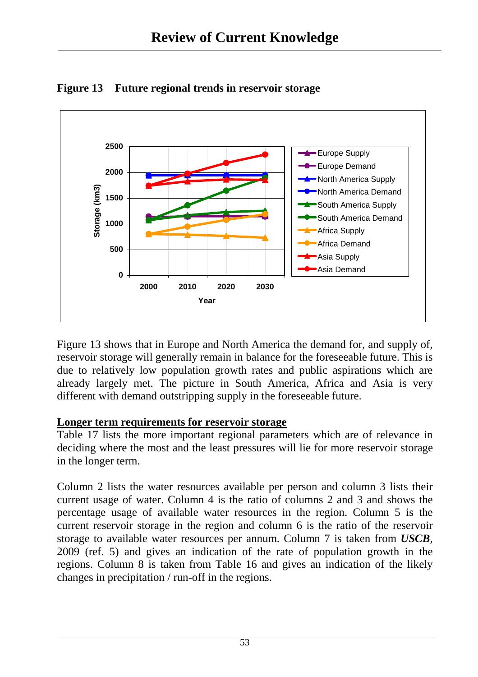

**Figure 13 Future regional trends in reservoir storage**

Figure 13 shows that in Europe and North America the demand for, and supply of, reservoir storage will generally remain in balance for the foreseeable future. This is due to relatively low population growth rates and public aspirations which are already largely met. The picture in South America, Africa and Asia is very different with demand outstripping supply in the foreseeable future.

### **Longer term requirements for reservoir storage**

Table 17 lists the more important regional parameters which are of relevance in deciding where the most and the least pressures will lie for more reservoir storage in the longer term.

Column 2 lists the water resources available per person and column 3 lists their current usage of water. Column 4 is the ratio of columns 2 and 3 and shows the percentage usage of available water resources in the region. Column 5 is the current reservoir storage in the region and column 6 is the ratio of the reservoir storage to available water resources per annum. Column 7 is taken from *USCB*, 2009 (ref. 5) and gives an indication of the rate of population growth in the regions. Column 8 is taken from Table 16 and gives an indication of the likely changes in precipitation / run-off in the regions.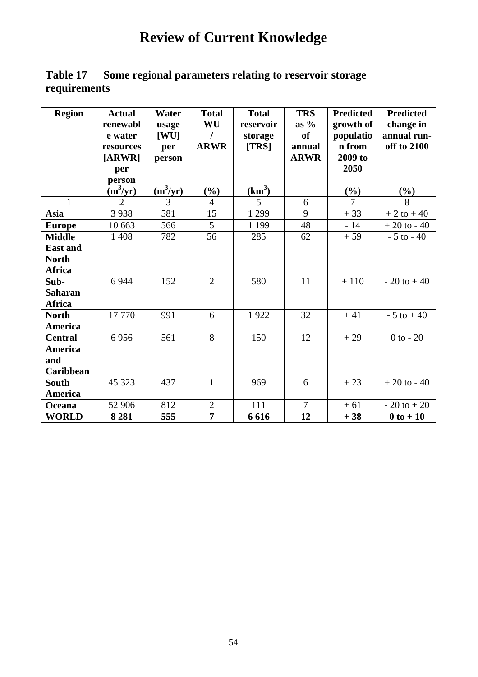|              | Table 17 Some regional parameters relating to reservoir storage |
|--------------|-----------------------------------------------------------------|
| requirements |                                                                 |

| <b>Region</b>    | <b>Actual</b>  | Water      | <b>Total</b>   | <b>Total</b>       | <b>TRS</b>     | <b>Predicted</b> | <b>Predicted</b> |
|------------------|----------------|------------|----------------|--------------------|----------------|------------------|------------------|
|                  | renewabl       | usage      | WU             | reservoir          | as $%$         | growth of        | change in        |
|                  | e water        | [WU]       | I              | storage            | <b>of</b>      | populatio        | annual run-      |
|                  | resources      | per        | <b>ARWR</b>    | [TRS]              | annual         | n from           | off to 2100      |
|                  | [ARWR]         | person     |                |                    | <b>ARWR</b>    | 2009 to          |                  |
|                  | per            |            |                |                    |                | 2050             |                  |
|                  | person         |            |                |                    |                |                  |                  |
|                  | $\sin^3(yr)$   | $(m^3/yr)$ | $(\%)$         | (km <sup>3</sup> ) |                | $(\%)$           | $(\%)$           |
| $\mathbf{1}$     | $\overline{2}$ | 3          | $\overline{4}$ | 5                  | 6              | $\overline{7}$   | 8                |
| Asia             | 3938           | 581        | 15             | 1 2 9 9            | 9              | $+33$            | $+2$ to $+40$    |
| <b>Europe</b>    | 10 663         | 566        | 5              | 1 1 9 9            | 48             | $-14$            | $+20$ to - 40    |
| <b>Middle</b>    | 1 4 0 8        | 782        | 56             | 285                | 62             | $+59$            | $-5$ to $-40$    |
| <b>East and</b>  |                |            |                |                    |                |                  |                  |
| <b>North</b>     |                |            |                |                    |                |                  |                  |
| <b>Africa</b>    |                |            |                |                    |                |                  |                  |
| Sub-             | 6 9 4 4        | 152        | $\overline{2}$ | 580                | 11             | $+110$           | $-20$ to $+40$   |
| <b>Saharan</b>   |                |            |                |                    |                |                  |                  |
| <b>Africa</b>    |                |            |                |                    |                |                  |                  |
| <b>North</b>     | 17770          | 991        | 6              | 1922               | 32             | $+41$            | $-5$ to $+40$    |
| <b>America</b>   |                |            |                |                    |                |                  |                  |
| <b>Central</b>   | 6956           | 561        | 8              | 150                | 12             | $+29$            | $0$ to $-20$     |
| <b>America</b>   |                |            |                |                    |                |                  |                  |
| and              |                |            |                |                    |                |                  |                  |
| <b>Caribbean</b> |                |            |                |                    |                |                  |                  |
| South            | 45 323         | 437        | $\mathbf{1}$   | 969                | 6              | $+23$            | $+20$ to - 40    |
| America          |                |            |                |                    |                |                  |                  |
| Oceana           | 52 906         | 812        | $\overline{2}$ | 111                | $\overline{7}$ | $+61$            | $-20$ to $+20$   |
| <b>WORLD</b>     | 8 2 8 1        | 555        | $\overline{7}$ | 6616               | 12             | $+38$            | $0$ to $+10$     |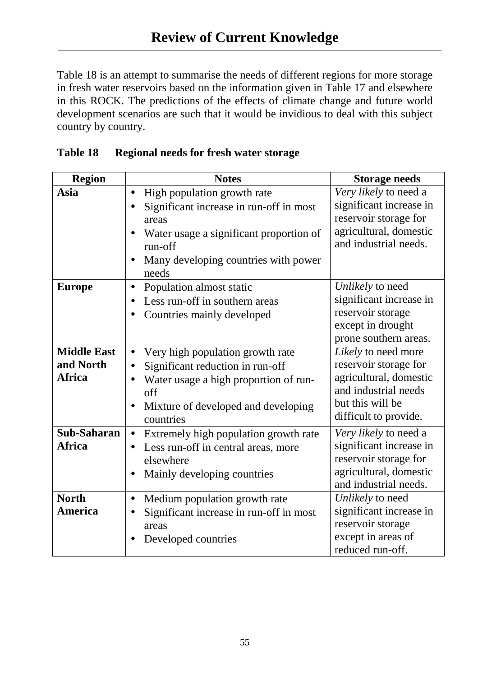Table 18 is an attempt to summarise the needs of different regions for more storage in fresh water reservoirs based on the information given in Table 17 and elsewhere in this ROCK. The predictions of the effects of climate change and future world development scenarios are such that it would be invidious to deal with this subject country by country.

| <b>Region</b>      | <b>Notes</b>                                  | <b>Storage needs</b>    |
|--------------------|-----------------------------------------------|-------------------------|
| Asia               | High population growth rate<br>$\bullet$      | Very likely to need a   |
|                    | Significant increase in run-off in most       | significant increase in |
|                    | areas                                         | reservoir storage for   |
|                    | Water usage a significant proportion of       | agricultural, domestic  |
|                    | run-off                                       | and industrial needs.   |
|                    | Many developing countries with power          |                         |
|                    | needs                                         |                         |
| <b>Europe</b>      | Population almost static<br>$\bullet$         | Unlikely to need        |
|                    | Less run-off in southern areas                | significant increase in |
|                    | Countries mainly developed                    | reservoir storage       |
|                    |                                               | except in drought       |
|                    |                                               | prone southern areas.   |
| <b>Middle East</b> | Very high population growth rate<br>$\bullet$ | Likely to need more     |
| and North          | Significant reduction in run-off              | reservoir storage for   |
| <b>Africa</b>      | Water usage a high proportion of run-         | agricultural, domestic  |
|                    | off                                           | and industrial needs    |
|                    | Mixture of developed and developing           | but this will be        |
|                    | countries                                     | difficult to provide.   |
| Sub-Saharan        | Extremely high population growth rate         | Very likely to need a   |
| <b>Africa</b>      | Less run-off in central areas, more           | significant increase in |
|                    | elsewhere                                     | reservoir storage for   |
|                    | Mainly developing countries                   | agricultural, domestic  |
|                    |                                               | and industrial needs.   |
| <b>North</b>       | Medium population growth rate<br>$\bullet$    | Unlikely to need        |
| <b>America</b>     | Significant increase in run-off in most       | significant increase in |
|                    | areas                                         | reservoir storage       |
|                    | Developed countries                           | except in areas of      |
|                    |                                               | reduced run-off.        |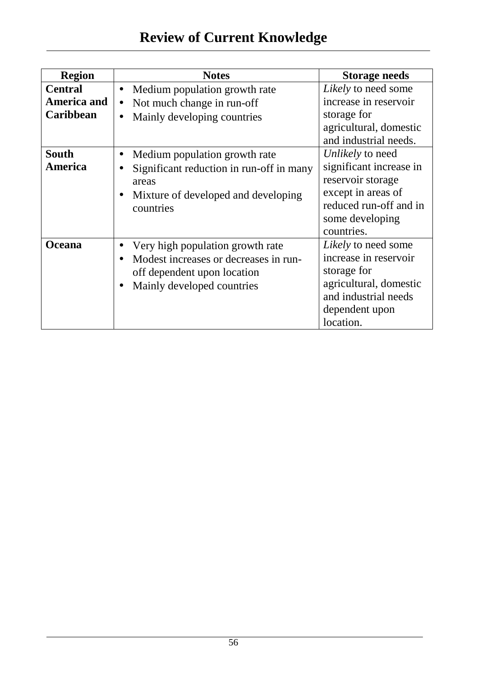# **Review of Current Knowledge**

| <b>Region</b>      | <b>Notes</b>                               | <b>Storage needs</b>                            |
|--------------------|--------------------------------------------|-------------------------------------------------|
| <b>Central</b>     | Medium population growth rate<br>$\bullet$ | Likely to need some                             |
| <b>America and</b> | Not much change in run-off<br>$\bullet$    | increase in reservoir                           |
| <b>Caribbean</b>   | Mainly developing countries<br>$\bullet$   | storage for                                     |
|                    |                                            | agricultural, domestic<br>and industrial needs. |
| <b>South</b>       | Medium population growth rate<br>$\bullet$ | Unlikely to need                                |
| <b>America</b>     | Significant reduction in run-off in many   | significant increase in                         |
|                    | areas                                      | reservoir storage                               |
|                    | Mixture of developed and developing        | except in areas of                              |
|                    | countries                                  | reduced run-off and in                          |
|                    |                                            | some developing                                 |
|                    |                                            | countries.                                      |
| <b>Oceana</b>      | Very high population growth rate           | Likely to need some                             |
|                    | Modest increases or decreases in run-      | increase in reservoir                           |
|                    | off dependent upon location                | storage for                                     |
|                    | Mainly developed countries                 | agricultural, domestic                          |
|                    |                                            | and industrial needs                            |
|                    |                                            | dependent upon                                  |
|                    |                                            | location.                                       |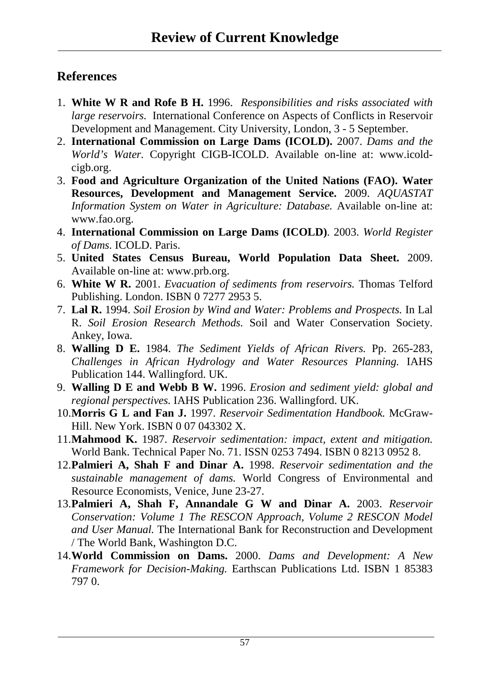### **References**

- 1. **White W R and Rofe B H.** 1996. *Responsibilities and risks associated with large reservoirs.* International Conference on Aspects of Conflicts in Reservoir Development and Management. City University, London, 3 - 5 September.
- 2. **International Commission on Large Dams (ICOLD).** 2007. *Dams and the World's Water.* Copyright CIGB-ICOLD. Available on-line at: www.icoldcigb.org.
- 3. **Food and Agriculture Organization of the United Nations (FAO). Water Resources, Development and Management Service.** 2009. *AQUASTAT Information System on Water in Agriculture: Database. Available on-line at:* www.fao.org.
- 4. **International Commission on Large Dams (ICOLD)**. 2003. *World Register of Dams.* ICOLD. Paris.
- 5. **United States Census Bureau, World Population Data Sheet.** 2009. Available on-line at: www.prb.org.
- 6. **White W R.** 2001. *Evacuation of sediments from reservoirs.* Thomas Telford Publishing. London. ISBN 0 7277 2953 5.
- 7. **Lal R.** 1994. *Soil Erosion by Wind and Water: Problems and Prospects.* In Lal R. *Soil Erosion Research Methods.* Soil and Water Conservation Society. Ankey, Iowa.
- 8. **Walling D E.** 1984. *The Sediment Yields of African Rivers.* Pp. 265-283, *Challenges in African Hydrology and Water Resources Planning.* IAHS Publication 144. Wallingford. UK.
- 9. **Walling D E and Webb B W.** 1996. *Erosion and sediment yield: global and regional perspectives.* IAHS Publication 236. Wallingford. UK.
- 10. **Morris G L and Fan J.** 1997. *Reservoir Sedimentation Handbook.* McGraw-Hill. New York. ISBN 0 07 043302 X.
- 11. **Mahmood K.** 1987. *Reservoir sedimentation: impact, extent and mitigation.*  World Bank. Technical Paper No. 71. ISSN 0253 7494. ISBN 0 8213 0952 8.
- 12. **Palmieri A, Shah F and Dinar A.** 1998. *Reservoir sedimentation and the sustainable management of dams.* World Congress of Environmental and Resource Economists, Venice, June 23-27.
- 13. **Palmieri A, Shah F, Annandale G W and Dinar A.** 2003. *Reservoir Conservation: Volume 1 The RESCON Approach, Volume 2 RESCON Model and User Manual.* The International Bank for Reconstruction and Development / The World Bank, Washington D.C.
- 14. **World Commission on Dams.** 2000. *Dams and Development: A New Framework for Decision-Making.* Earthscan Publications Ltd. ISBN 1 85383 797 0.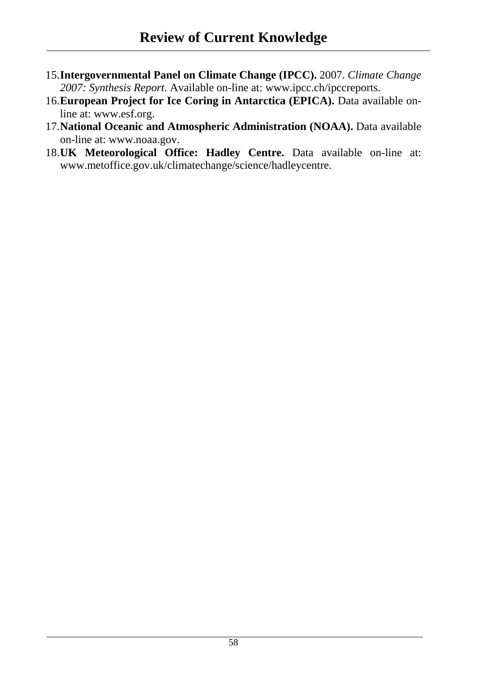- 15. **Intergovernmental Panel on Climate Change (IPCC).** 2007. *Climate Change 2007: Synthesis Report.* Available on-line at: www.ipcc.ch/ipccreports.
- 16. **European Project for Ice Coring in Antarctica (EPICA).** Data available online at: www.esf.org.
- 17. **National Oceanic and Atmospheric Administration (NOAA).** Data available on-line at: www.noaa.gov.
- 18. **UK Meteorological Office: Hadley Centre.** Data available on-line at: www.metoffice.gov.uk/climatechange/science/hadleycentre.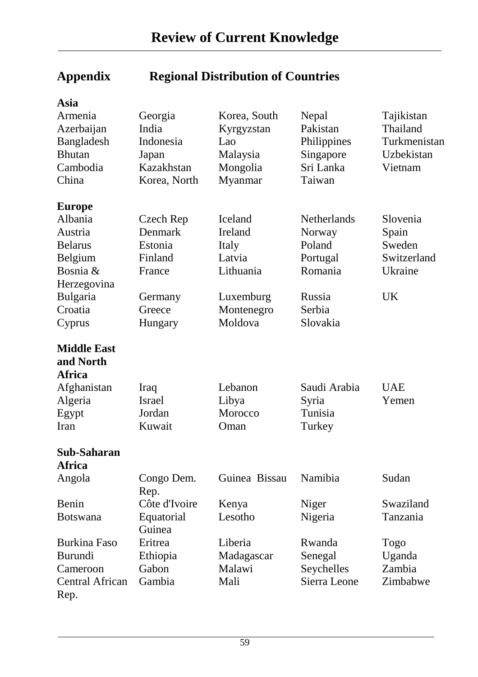| Asia                |                    |               |                    |              |
|---------------------|--------------------|---------------|--------------------|--------------|
| Armenia             | Georgia            | Korea, South  | Nepal              | Tajikistan   |
| Azerbaijan          | India              | Kyrgyzstan    | Pakistan           | Thailand     |
| Bangladesh          | Indonesia          | Lao           | Philippines        | Turkmenistan |
| <b>Bhutan</b>       | Japan              | Malaysia      | Singapore          | Uzbekistan   |
| Cambodia            | Kazakhstan         | Mongolia      | Sri Lanka          | Vietnam      |
| China               | Korea, North       | Myanmar       | Taiwan             |              |
| <b>Europe</b>       |                    |               |                    |              |
| Albania             | Czech Rep          | Iceland       | <b>Netherlands</b> | Slovenia     |
| Austria             | Denmark            | Ireland       | Norway             | Spain        |
| <b>Belarus</b>      | Estonia            | Italy         | Poland             | Sweden       |
| Belgium             | Finland            | Latvia        | Portugal           | Switzerland  |
| Bosnia &            | France             | Lithuania     | Romania            | Ukraine      |
| Herzegovina         |                    |               |                    |              |
| Bulgaria            | Germany            | Luxemburg     | Russia             | <b>UK</b>    |
| Croatia             | Greece             | Montenegro    | Serbia             |              |
| Cyprus              | Hungary            | Moldova       | Slovakia           |              |
| <b>Middle East</b>  |                    |               |                    |              |
| and North           |                    |               |                    |              |
| <b>Africa</b>       |                    |               |                    |              |
| Afghanistan         | Iraq               | Lebanon       | Saudi Arabia       | <b>UAE</b>   |
| Algeria             | <b>Israel</b>      | Libya         | Syria              | Yemen        |
| Egypt               | Jordan             | Morocco       | Tunisia            |              |
| Iran                | Kuwait             | Oman          | Turkey             |              |
|                     |                    |               |                    |              |
| Sub-Saharan         |                    |               |                    |              |
| <b>Africa</b>       |                    |               |                    |              |
| Angola              | Congo Dem.<br>Rep. | Guinea Bissau | Namibia            | Sudan        |
| Benin               | Côte d'Ivoire      | Kenya         | Niger              | Swaziland    |
| <b>Botswana</b>     | Equatorial         | Lesotho       | Nigeria            | Tanzania     |
|                     | Guinea             |               |                    |              |
| <b>Burkina Faso</b> | Eritrea            | Liberia       | Rwanda             | Togo         |
| <b>Burundi</b>      | Ethiopia           | Madagascar    | Senegal            | Uganda       |
| Cameroon            | Gabon              | Malawi        | Seychelles         | Zambia       |
| Central African     | Gambia             | Mali          | Sierra Leone       | Zimbabwe     |
| Rep.                |                    |               |                    |              |

# **Appendix Regional Distribution of Countries**